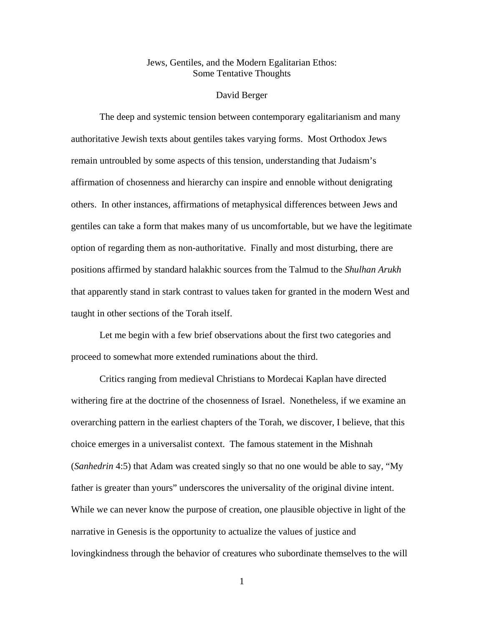## Jews, Gentiles, and the Modern Egalitarian Ethos: Some Tentative Thoughts

## David Berger

 The deep and systemic tension between contemporary egalitarianism and many authoritative Jewish texts about gentiles takes varying forms. Most Orthodox Jews remain untroubled by some aspects of this tension, understanding that Judaism's affirmation of chosenness and hierarchy can inspire and ennoble without denigrating others. In other instances, affirmations of metaphysical differences between Jews and gentiles can take a form that makes many of us uncomfortable, but we have the legitimate option of regarding them as non-authoritative. Finally and most disturbing, there are positions affirmed by standard halakhic sources from the Talmud to the *Shulhan Arukh*  that apparently stand in stark contrast to values taken for granted in the modern West and taught in other sections of the Torah itself.

 Let me begin with a few brief observations about the first two categories and proceed to somewhat more extended ruminations about the third.

 Critics ranging from medieval Christians to Mordecai Kaplan have directed withering fire at the doctrine of the chosenness of Israel. Nonetheless, if we examine an overarching pattern in the earliest chapters of the Torah, we discover, I believe, that this choice emerges in a universalist context. The famous statement in the Mishnah (*Sanhedrin* 4:5) that Adam was created singly so that no one would be able to say, "My father is greater than yours" underscores the universality of the original divine intent. While we can never know the purpose of creation, one plausible objective in light of the narrative in Genesis is the opportunity to actualize the values of justice and lovingkindness through the behavior of creatures who subordinate themselves to the will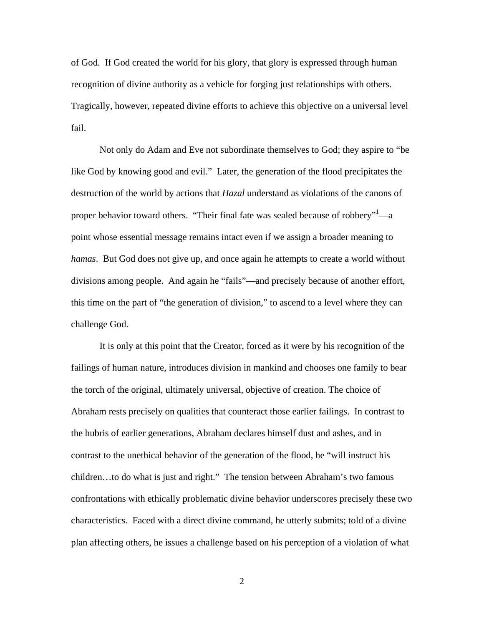of God. If God created the world for his glory, that glory is expressed through human recognition of divine authority as a vehicle for forging just relationships with others. Tragically, however, repeated divine efforts to achieve this objective on a universal level fail.

Not only do Adam and Eve not subordinate themselves to God; they aspire to "be like God by knowing good and evil." Later, the generation of the flood precipitates the destruction of the world by actions that *Hazal* understand as violations of the canons of proper behavior toward others. "Their final fate was sealed because of robbery"<sup>1</sup>—a point whose essential message remains intact even if we assign a broader meaning to *hamas*. But God does not give up, and once again he attempts to create a world without divisions among people. And again he "fails"—and precisely because of another effort, this time on the part of "the generation of division," to ascend to a level where they can challenge God.

It is only at this point that the Creator, forced as it were by his recognition of the failings of human nature, introduces division in mankind and chooses one family to bear the torch of the original, ultimately universal, objective of creation. The choice of Abraham rests precisely on qualities that counteract those earlier failings. In contrast to the hubris of earlier generations, Abraham declares himself dust and ashes, and in contrast to the unethical behavior of the generation of the flood, he "will instruct his children…to do what is just and right." The tension between Abraham's two famous confrontations with ethically problematic divine behavior underscores precisely these two characteristics. Faced with a direct divine command, he utterly submits; told of a divine plan affecting others, he issues a challenge based on his perception of a violation of what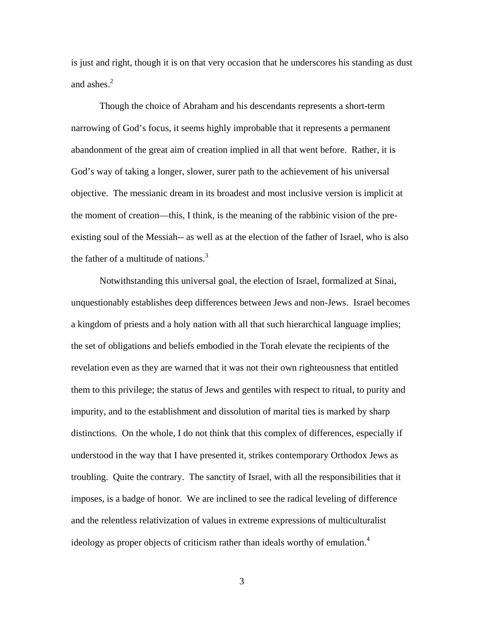is just and right, though it is on that very occasion that he underscores his standing as dust and ashes. $2$ 

Though the choice of Abraham and his descendants represents a short-term narrowing of God's focus, it seems highly improbable that it represents a permanent abandonment of the great aim of creation implied in all that went before. Rather, it is God's way of taking a longer, slower, surer path to the achievement of his universal objective. The messianic dream in its broadest and most inclusive version is implicit at the moment of creation—this, I think, is the meaning of the rabbinic vision of the preexisting soul of the Messiah-- as well as at the election of the father of Israel, who is also the father of a multitude of nations. $3$ 

Notwithstanding this universal goal, the election of Israel, formalized at Sinai, unquestionably establishes deep differences between Jews and non-Jews. Israel becomes a kingdom of priests and a holy nation with all that such hierarchical language implies; the set of obligations and beliefs embodied in the Torah elevate the recipients of the revelation even as they are warned that it was not their own righteousness that entitled them to this privilege; the status of Jews and gentiles with respect to ritual, to purity and impurity, and to the establishment and dissolution of marital ties is marked by sharp distinctions. On the whole, I do not think that this complex of differences, especially if understood in the way that I have presented it, strikes contemporary Orthodox Jews as troubling. Quite the contrary. The sanctity of Israel, with all the responsibilities that it imposes, is a badge of honor. We are inclined to see the radical leveling of difference and the relentless relativization of values in extreme expressions of multiculturalist ideology as proper objects of criticism rather than ideals worthy of emulation.<sup>4</sup>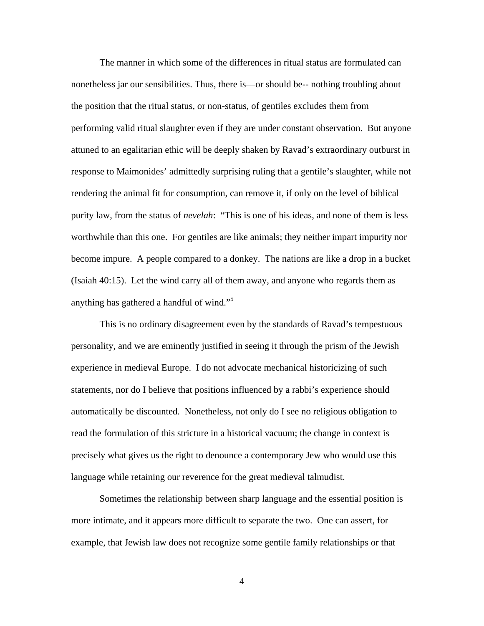The manner in which some of the differences in ritual status are formulated can nonetheless jar our sensibilities. Thus, there is—or should be-- nothing troubling about the position that the ritual status, or non-status, of gentiles excludes them from performing valid ritual slaughter even if they are under constant observation. But anyone attuned to an egalitarian ethic will be deeply shaken by Ravad's extraordinary outburst in response to Maimonides' admittedly surprising ruling that a gentile's slaughter, while not rendering the animal fit for consumption, can remove it, if only on the level of biblical purity law, from the status of *nevelah*: "This is one of his ideas, and none of them is less worthwhile than this one. For gentiles are like animals; they neither impart impurity nor become impure. A people compared to a donkey. The nations are like a drop in a bucket (Isaiah 40:15). Let the wind carry all of them away, and anyone who regards them as anything has gathered a handful of wind."<sup>5</sup>

This is no ordinary disagreement even by the standards of Ravad's tempestuous personality, and we are eminently justified in seeing it through the prism of the Jewish experience in medieval Europe. I do not advocate mechanical historicizing of such statements, nor do I believe that positions influenced by a rabbi's experience should automatically be discounted. Nonetheless, not only do I see no religious obligation to read the formulation of this stricture in a historical vacuum; the change in context is precisely what gives us the right to denounce a contemporary Jew who would use this language while retaining our reverence for the great medieval talmudist.

Sometimes the relationship between sharp language and the essential position is more intimate, and it appears more difficult to separate the two. One can assert, for example, that Jewish law does not recognize some gentile family relationships or that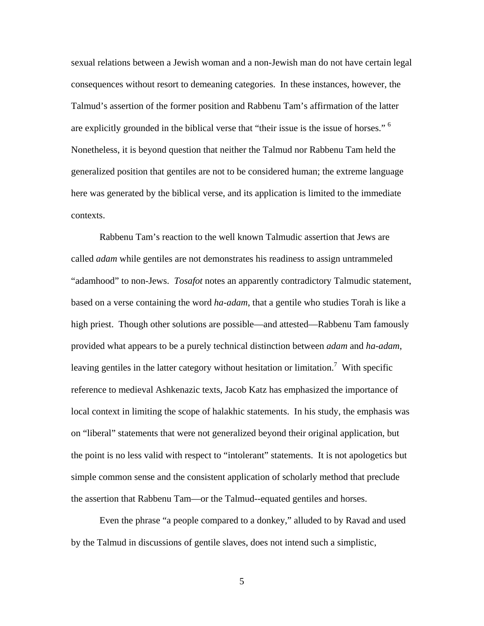sexual relations between a Jewish woman and a non-Jewish man do not have certain legal consequences without resort to demeaning categories. In these instances, however, the Talmud's assertion of the former position and Rabbenu Tam's affirmation of the latter are explicitly grounded in the biblical verse that "their issue is the issue of horses." <sup>6</sup> Nonetheless, it is beyond question that neither the Talmud nor Rabbenu Tam held the generalized position that gentiles are not to be considered human; the extreme language here was generated by the biblical verse, and its application is limited to the immediate contexts.

Rabbenu Tam's reaction to the well known Talmudic assertion that Jews are called *adam* while gentiles are not demonstrates his readiness to assign untrammeled "adamhood" to non-Jews. *Tosafot* notes an apparently contradictory Talmudic statement, based on a verse containing the word *ha-adam*, that a gentile who studies Torah is like a high priest. Though other solutions are possible—and attested—Rabbenu Tam famously provided what appears to be a purely technical distinction between *adam* and *ha-adam*, leaving gentiles in the latter category without hesitation or limitation.<sup>7</sup> With specific reference to medieval Ashkenazic texts, Jacob Katz has emphasized the importance of local context in limiting the scope of halakhic statements. In his study, the emphasis was on "liberal" statements that were not generalized beyond their original application, but the point is no less valid with respect to "intolerant" statements. It is not apologetics but simple common sense and the consistent application of scholarly method that preclude the assertion that Rabbenu Tam—or the Talmud--equated gentiles and horses.

Even the phrase "a people compared to a donkey," alluded to by Ravad and used by the Talmud in discussions of gentile slaves, does not intend such a simplistic,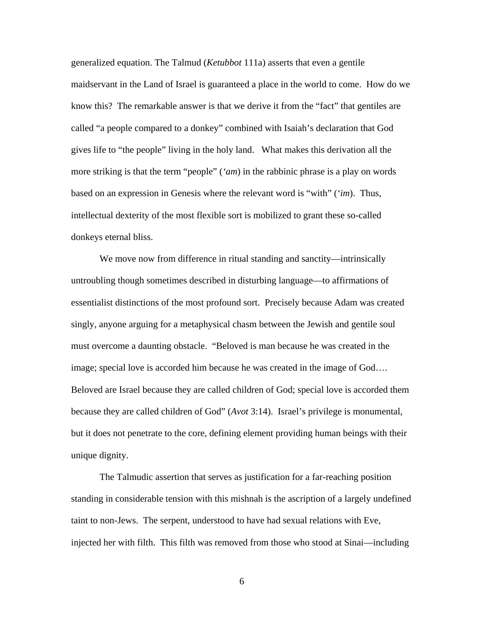generalized equation. The Talmud (*Ketubbot* 111a) asserts that even a gentile maidservant in the Land of Israel is guaranteed a place in the world to come. How do we know this? The remarkable answer is that we derive it from the "fact" that gentiles are called "a people compared to a donkey" combined with Isaiah's declaration that God gives life to "the people" living in the holy land. What makes this derivation all the more striking is that the term "people" (*'am*) in the rabbinic phrase is a play on words based on an expression in Genesis where the relevant word is "with" (*'im*). Thus, intellectual dexterity of the most flexible sort is mobilized to grant these so-called donkeys eternal bliss.

We move now from difference in ritual standing and sanctity—intrinsically untroubling though sometimes described in disturbing language—to affirmations of essentialist distinctions of the most profound sort. Precisely because Adam was created singly, anyone arguing for a metaphysical chasm between the Jewish and gentile soul must overcome a daunting obstacle. "Beloved is man because he was created in the image; special love is accorded him because he was created in the image of God…. Beloved are Israel because they are called children of God; special love is accorded them because they are called children of God" (*Avot* 3:14). Israel's privilege is monumental, but it does not penetrate to the core, defining element providing human beings with their unique dignity.

The Talmudic assertion that serves as justification for a far-reaching position standing in considerable tension with this mishnah is the ascription of a largely undefined taint to non-Jews. The serpent, understood to have had sexual relations with Eve, injected her with filth. This filth was removed from those who stood at Sinai—including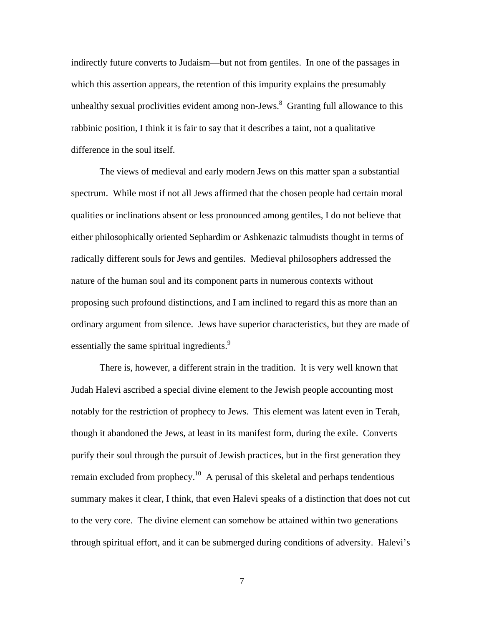indirectly future converts to Judaism—but not from gentiles. In one of the passages in which this assertion appears, the retention of this impurity explains the presumably unhealthy sexual proclivities evident among non-Jews. $^8$  Granting full allowance to this rabbinic position, I think it is fair to say that it describes a taint, not a qualitative difference in the soul itself.

The views of medieval and early modern Jews on this matter span a substantial spectrum. While most if not all Jews affirmed that the chosen people had certain moral qualities or inclinations absent or less pronounced among gentiles, I do not believe that either philosophically oriented Sephardim or Ashkenazic talmudists thought in terms of radically different souls for Jews and gentiles. Medieval philosophers addressed the nature of the human soul and its component parts in numerous contexts without proposing such profound distinctions, and I am inclined to regard this as more than an ordinary argument from silence. Jews have superior characteristics, but they are made of essentially the same spiritual ingredients.<sup>9</sup>

There is, however, a different strain in the tradition. It is very well known that Judah Halevi ascribed a special divine element to the Jewish people accounting most notably for the restriction of prophecy to Jews. This element was latent even in Terah, though it abandoned the Jews, at least in its manifest form, during the exile. Converts purify their soul through the pursuit of Jewish practices, but in the first generation they remain excluded from prophecy.<sup>10</sup> A perusal of this skeletal and perhaps tendentious summary makes it clear, I think, that even Halevi speaks of a distinction that does not cut to the very core. The divine element can somehow be attained within two generations through spiritual effort, and it can be submerged during conditions of adversity. Halevi's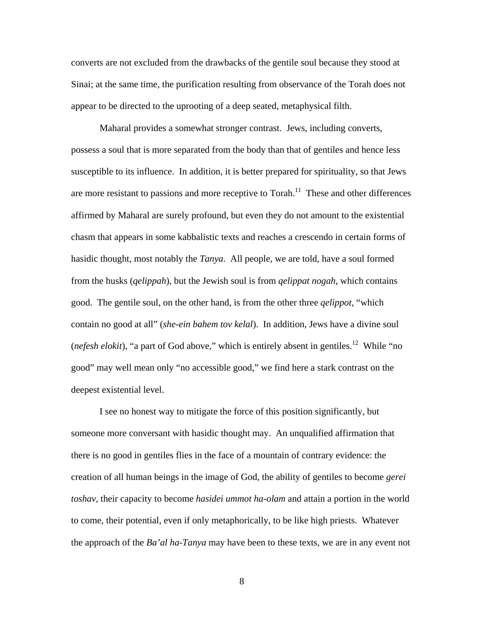converts are not excluded from the drawbacks of the gentile soul because they stood at Sinai; at the same time, the purification resulting from observance of the Torah does not appear to be directed to the uprooting of a deep seated, metaphysical filth.

Maharal provides a somewhat stronger contrast. Jews, including converts, possess a soul that is more separated from the body than that of gentiles and hence less susceptible to its influence. In addition, it is better prepared for spirituality, so that Jews are more resistant to passions and more receptive to  $T$ orah.<sup>11</sup> These and other differences affirmed by Maharal are surely profound, but even they do not amount to the existential chasm that appears in some kabbalistic texts and reaches a crescendo in certain forms of hasidic thought, most notably the *Tanya*. All people, we are told, have a soul formed from the husks (*qelippah*), but the Jewish soul is from *qelippat nogah*, which contains good. The gentile soul, on the other hand, is from the other three *qelippot*, "which contain no good at all" (*she-ein bahem tov kelal*). In addition, Jews have a divine soul (*nefesh elokit*), "a part of God above," which is entirely absent in gentiles.<sup>12</sup> While "no good" may well mean only "no accessible good," we find here a stark contrast on the deepest existential level.

I see no honest way to mitigate the force of this position significantly, but someone more conversant with hasidic thought may. An unqualified affirmation that there is no good in gentiles flies in the face of a mountain of contrary evidence: the creation of all human beings in the image of God, the ability of gentiles to become *gerei toshav*, their capacity to become *hasidei ummot ha-olam* and attain a portion in the world to come, their potential, even if only metaphorically, to be like high priests. Whatever the approach of the *Ba'al ha-Tanya* may have been to these texts, we are in any event not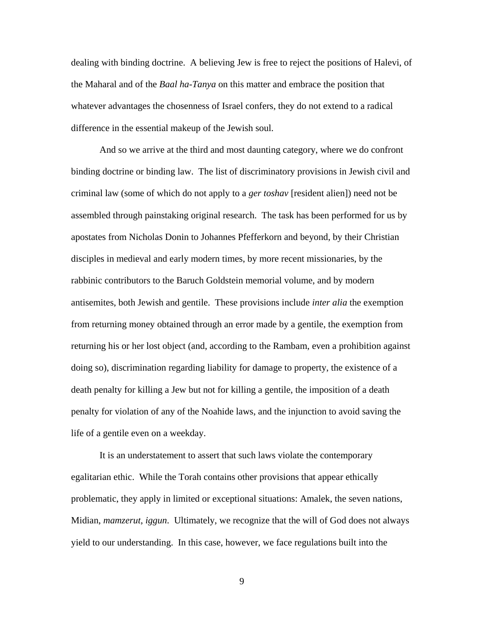dealing with binding doctrine. A believing Jew is free to reject the positions of Halevi, of the Maharal and of the *Baal ha-Tanya* on this matter and embrace the position that whatever advantages the chosenness of Israel confers, they do not extend to a radical difference in the essential makeup of the Jewish soul.

And so we arrive at the third and most daunting category, where we do confront binding doctrine or binding law. The list of discriminatory provisions in Jewish civil and criminal law (some of which do not apply to a *ger toshav* [resident alien]) need not be assembled through painstaking original research. The task has been performed for us by apostates from Nicholas Donin to Johannes Pfefferkorn and beyond, by their Christian disciples in medieval and early modern times, by more recent missionaries, by the rabbinic contributors to the Baruch Goldstein memorial volume, and by modern antisemites, both Jewish and gentile. These provisions include *inter alia* the exemption from returning money obtained through an error made by a gentile, the exemption from returning his or her lost object (and, according to the Rambam, even a prohibition against doing so), discrimination regarding liability for damage to property, the existence of a death penalty for killing a Jew but not for killing a gentile, the imposition of a death penalty for violation of any of the Noahide laws, and the injunction to avoid saving the life of a gentile even on a weekday.

It is an understatement to assert that such laws violate the contemporary egalitarian ethic. While the Torah contains other provisions that appear ethically problematic, they apply in limited or exceptional situations: Amalek, the seven nations, Midian, *mamzerut*, *iggun*. Ultimately, we recognize that the will of God does not always yield to our understanding. In this case, however, we face regulations built into the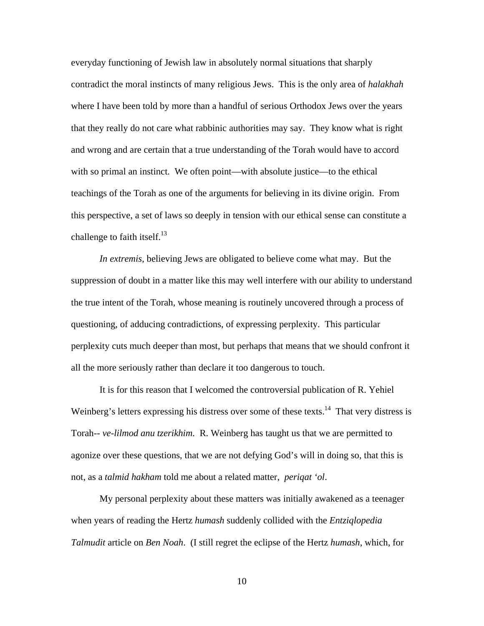everyday functioning of Jewish law in absolutely normal situations that sharply contradict the moral instincts of many religious Jews. This is the only area of *halakhah* where I have been told by more than a handful of serious Orthodox Jews over the years that they really do not care what rabbinic authorities may say. They know what is right and wrong and are certain that a true understanding of the Torah would have to accord with so primal an instinct. We often point—with absolute justice—to the ethical teachings of the Torah as one of the arguments for believing in its divine origin. From this perspective, a set of laws so deeply in tension with our ethical sense can constitute a challenge to faith itself. $^{13}$ 

*In extremis*, believing Jews are obligated to believe come what may. But the suppression of doubt in a matter like this may well interfere with our ability to understand the true intent of the Torah, whose meaning is routinely uncovered through a process of questioning, of adducing contradictions, of expressing perplexity. This particular perplexity cuts much deeper than most, but perhaps that means that we should confront it all the more seriously rather than declare it too dangerous to touch.

It is for this reason that I welcomed the controversial publication of R. Yehiel Weinberg's letters expressing his distress over some of these texts.<sup>14</sup> That very distress is Torah-- *ve-lilmod anu tzerikhim*. R. Weinberg has taught us that we are permitted to agonize over these questions, that we are not defying God's will in doing so, that this is not, as a *talmid hakham* told me about a related matter, *periqat 'ol*.

My personal perplexity about these matters was initially awakened as a teenager when years of reading the Hertz *humash* suddenly collided with the *Entziqlopedia Talmudit* article on *Ben Noah*. (I still regret the eclipse of the Hertz *humash*, which, for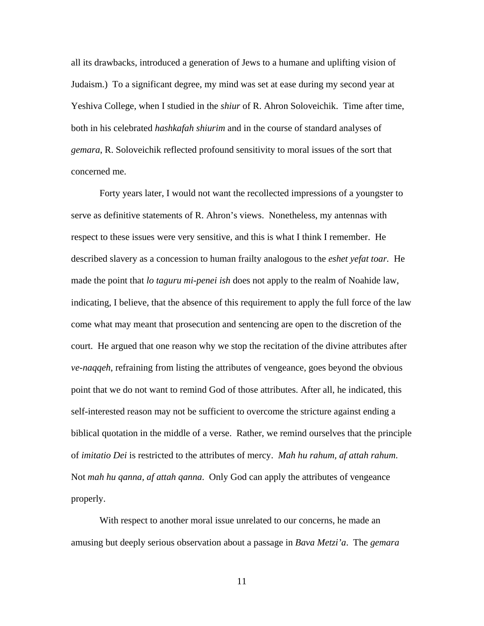all its drawbacks, introduced a generation of Jews to a humane and uplifting vision of Judaism.) To a significant degree, my mind was set at ease during my second year at Yeshiva College, when I studied in the *shiur* of R. Ahron Soloveichik. Time after time, both in his celebrated *hashkafah shiurim* and in the course of standard analyses of *gemara*, R. Soloveichik reflected profound sensitivity to moral issues of the sort that concerned me.

Forty years later, I would not want the recollected impressions of a youngster to serve as definitive statements of R. Ahron's views. Nonetheless, my antennas with respect to these issues were very sensitive, and this is what I think I remember. He described slavery as a concession to human frailty analogous to the *eshet yefat toar.* He made the point that *lo taguru mi-penei ish* does not apply to the realm of Noahide law, indicating, I believe, that the absence of this requirement to apply the full force of the law come what may meant that prosecution and sentencing are open to the discretion of the court. He argued that one reason why we stop the recitation of the divine attributes after *ve-naqqeh*, refraining from listing the attributes of vengeance, goes beyond the obvious point that we do not want to remind God of those attributes. After all, he indicated, this self-interested reason may not be sufficient to overcome the stricture against ending a biblical quotation in the middle of a verse. Rather, we remind ourselves that the principle of *imitatio Dei* is restricted to the attributes of mercy. *Mah hu rahum, af attah rahum*. Not *mah hu qanna, af attah qanna*. Only God can apply the attributes of vengeance properly.

With respect to another moral issue unrelated to our concerns, he made an amusing but deeply serious observation about a passage in *Bava Metzi'a*. The *gemara*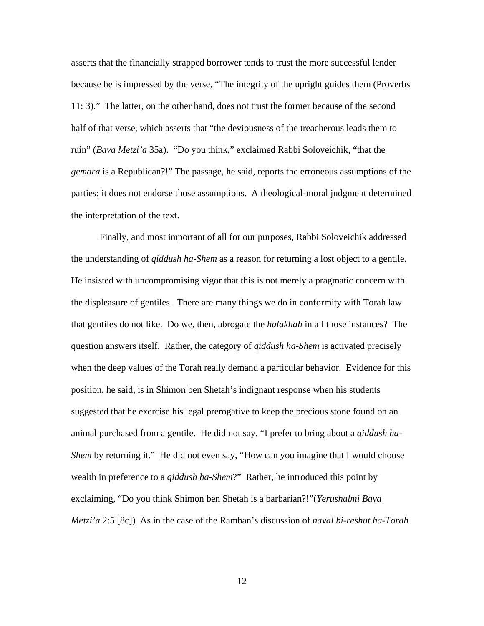asserts that the financially strapped borrower tends to trust the more successful lender because he is impressed by the verse, "The integrity of the upright guides them (Proverbs 11: 3)." The latter, on the other hand, does not trust the former because of the second half of that verse, which asserts that "the deviousness of the treacherous leads them to ruin" (*Bava Metzi'a* 35a). "Do you think," exclaimed Rabbi Soloveichik, "that the *gemara* is a Republican?!" The passage, he said, reports the erroneous assumptions of the parties; it does not endorse those assumptions. A theological-moral judgment determined the interpretation of the text.

Finally, and most important of all for our purposes, Rabbi Soloveichik addressed the understanding of *qiddush ha-Shem* as a reason for returning a lost object to a gentile. He insisted with uncompromising vigor that this is not merely a pragmatic concern with the displeasure of gentiles. There are many things we do in conformity with Torah law that gentiles do not like. Do we, then, abrogate the *halakhah* in all those instances? The question answers itself. Rather, the category of *qiddush ha-Shem* is activated precisely when the deep values of the Torah really demand a particular behavior. Evidence for this position, he said, is in Shimon ben Shetah's indignant response when his students suggested that he exercise his legal prerogative to keep the precious stone found on an animal purchased from a gentile. He did not say, "I prefer to bring about a *qiddush ha-Shem* by returning it." He did not even say, "How can you imagine that I would choose wealth in preference to a *qiddush ha-Shem*?" Rather, he introduced this point by exclaiming, "Do you think Shimon ben Shetah is a barbarian?!"(*Yerushalmi Bava Metzi'a* 2:5 [8c]) As in the case of the Ramban's discussion of *naval bi-reshut ha-Torah*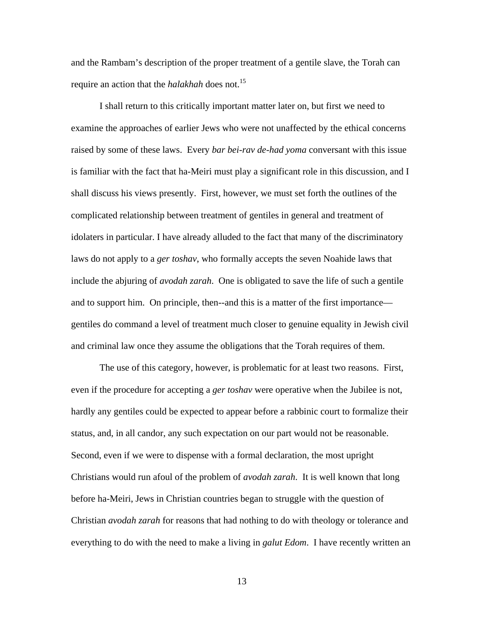and the Rambam's description of the proper treatment of a gentile slave, the Torah can require an action that the *halakhah* does not.15

I shall return to this critically important matter later on, but first we need to examine the approaches of earlier Jews who were not unaffected by the ethical concerns raised by some of these laws. Every *bar bei-rav de-had yoma* conversant with this issue is familiar with the fact that ha-Meiri must play a significant role in this discussion, and I shall discuss his views presently. First, however, we must set forth the outlines of the complicated relationship between treatment of gentiles in general and treatment of idolaters in particular. I have already alluded to the fact that many of the discriminatory laws do not apply to a *ger toshav*, who formally accepts the seven Noahide laws that include the abjuring of *avodah zarah*. One is obligated to save the life of such a gentile and to support him. On principle, then--and this is a matter of the first importance gentiles do command a level of treatment much closer to genuine equality in Jewish civil and criminal law once they assume the obligations that the Torah requires of them.

The use of this category, however, is problematic for at least two reasons. First, even if the procedure for accepting a *ger toshav* were operative when the Jubilee is not, hardly any gentiles could be expected to appear before a rabbinic court to formalize their status, and, in all candor, any such expectation on our part would not be reasonable. Second, even if we were to dispense with a formal declaration, the most upright Christians would run afoul of the problem of *avodah zarah*. It is well known that long before ha-Meiri, Jews in Christian countries began to struggle with the question of Christian *avodah zarah* for reasons that had nothing to do with theology or tolerance and everything to do with the need to make a living in *galut Edom*. I have recently written an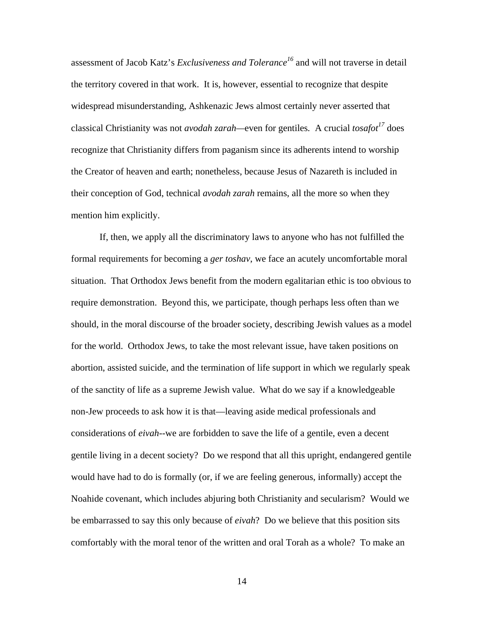assessment of Jacob Katz's *Exclusiveness and Tolerance<sup>16</sup>* and will not traverse in detail the territory covered in that work. It is, however, essential to recognize that despite widespread misunderstanding, Ashkenazic Jews almost certainly never asserted that classical Christianity was not *avodah zarah*—even for gentiles. A crucial *tosafot*<sup>17</sup> does recognize that Christianity differs from paganism since its adherents intend to worship the Creator of heaven and earth; nonetheless, because Jesus of Nazareth is included in their conception of God, technical *avodah zarah* remains, all the more so when they mention him explicitly.

If, then, we apply all the discriminatory laws to anyone who has not fulfilled the formal requirements for becoming a *ger toshav*, we face an acutely uncomfortable moral situation. That Orthodox Jews benefit from the modern egalitarian ethic is too obvious to require demonstration. Beyond this, we participate, though perhaps less often than we should, in the moral discourse of the broader society, describing Jewish values as a model for the world. Orthodox Jews, to take the most relevant issue, have taken positions on abortion, assisted suicide, and the termination of life support in which we regularly speak of the sanctity of life as a supreme Jewish value. What do we say if a knowledgeable non-Jew proceeds to ask how it is that—leaving aside medical professionals and considerations of *eivah*--we are forbidden to save the life of a gentile, even a decent gentile living in a decent society? Do we respond that all this upright, endangered gentile would have had to do is formally (or, if we are feeling generous, informally) accept the Noahide covenant, which includes abjuring both Christianity and secularism? Would we be embarrassed to say this only because of *eivah*? Do we believe that this position sits comfortably with the moral tenor of the written and oral Torah as a whole? To make an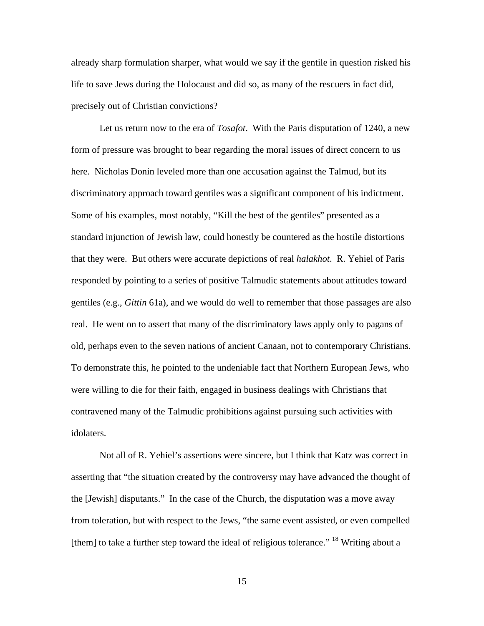already sharp formulation sharper, what would we say if the gentile in question risked his life to save Jews during the Holocaust and did so, as many of the rescuers in fact did, precisely out of Christian convictions?

Let us return now to the era of *Tosafot*. With the Paris disputation of 1240, a new form of pressure was brought to bear regarding the moral issues of direct concern to us here. Nicholas Donin leveled more than one accusation against the Talmud, but its discriminatory approach toward gentiles was a significant component of his indictment. Some of his examples, most notably, "Kill the best of the gentiles" presented as a standard injunction of Jewish law, could honestly be countered as the hostile distortions that they were. But others were accurate depictions of real *halakhot*. R. Yehiel of Paris responded by pointing to a series of positive Talmudic statements about attitudes toward gentiles (e.g., *Gittin* 61a), and we would do well to remember that those passages are also real. He went on to assert that many of the discriminatory laws apply only to pagans of old, perhaps even to the seven nations of ancient Canaan, not to contemporary Christians. To demonstrate this, he pointed to the undeniable fact that Northern European Jews, who were willing to die for their faith, engaged in business dealings with Christians that contravened many of the Talmudic prohibitions against pursuing such activities with idolaters.

Not all of R. Yehiel's assertions were sincere, but I think that Katz was correct in asserting that "the situation created by the controversy may have advanced the thought of the [Jewish] disputants." In the case of the Church, the disputation was a move away from toleration, but with respect to the Jews, "the same event assisted, or even compelled [them] to take a further step toward the ideal of religious tolerance."  $^{18}$  Writing about a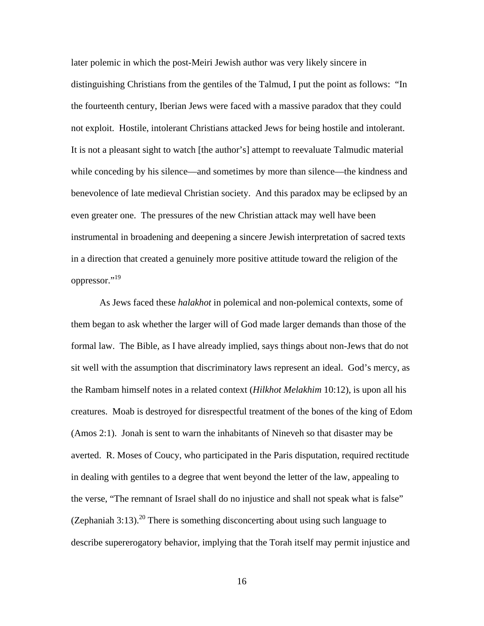later polemic in which the post-Meiri Jewish author was very likely sincere in distinguishing Christians from the gentiles of the Talmud, I put the point as follows: "In the fourteenth century, Iberian Jews were faced with a massive paradox that they could not exploit. Hostile, intolerant Christians attacked Jews for being hostile and intolerant. It is not a pleasant sight to watch [the author's] attempt to reevaluate Talmudic material while conceding by his silence—and sometimes by more than silence—the kindness and benevolence of late medieval Christian society. And this paradox may be eclipsed by an even greater one. The pressures of the new Christian attack may well have been instrumental in broadening and deepening a sincere Jewish interpretation of sacred texts in a direction that created a genuinely more positive attitude toward the religion of the oppressor."19

As Jews faced these *halakhot* in polemical and non-polemical contexts, some of them began to ask whether the larger will of God made larger demands than those of the formal law. The Bible, as I have already implied, says things about non-Jews that do not sit well with the assumption that discriminatory laws represent an ideal. God's mercy, as the Rambam himself notes in a related context (*Hilkhot Melakhim* 10:12), is upon all his creatures. Moab is destroyed for disrespectful treatment of the bones of the king of Edom (Amos 2:1). Jonah is sent to warn the inhabitants of Nineveh so that disaster may be averted. R. Moses of Coucy, who participated in the Paris disputation, required rectitude in dealing with gentiles to a degree that went beyond the letter of the law, appealing to the verse, "The remnant of Israel shall do no injustice and shall not speak what is false" (Zephaniah 3:13).<sup>20</sup> There is something disconcerting about using such language to describe supererogatory behavior, implying that the Torah itself may permit injustice and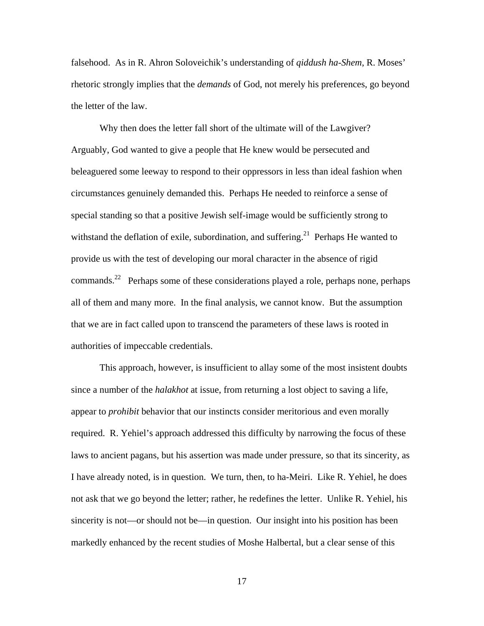falsehood. As in R. Ahron Soloveichik's understanding of *qiddush ha-Shem*, R. Moses' rhetoric strongly implies that the *demands* of God, not merely his preferences, go beyond the letter of the law.

Why then does the letter fall short of the ultimate will of the Lawgiver? Arguably, God wanted to give a people that He knew would be persecuted and beleaguered some leeway to respond to their oppressors in less than ideal fashion when circumstances genuinely demanded this. Perhaps He needed to reinforce a sense of special standing so that a positive Jewish self-image would be sufficiently strong to withstand the deflation of exile, subordination, and suffering.<sup>21</sup> Perhaps He wanted to provide us with the test of developing our moral character in the absence of rigid commands.22 Perhaps some of these considerations played a role, perhaps none, perhaps all of them and many more. In the final analysis, we cannot know. But the assumption that we are in fact called upon to transcend the parameters of these laws is rooted in authorities of impeccable credentials.

This approach, however, is insufficient to allay some of the most insistent doubts since a number of the *halakhot* at issue, from returning a lost object to saving a life, appear to *prohibit* behavior that our instincts consider meritorious and even morally required. R. Yehiel's approach addressed this difficulty by narrowing the focus of these laws to ancient pagans, but his assertion was made under pressure, so that its sincerity, as I have already noted, is in question. We turn, then, to ha-Meiri. Like R. Yehiel, he does not ask that we go beyond the letter; rather, he redefines the letter. Unlike R. Yehiel, his sincerity is not—or should not be—in question. Our insight into his position has been markedly enhanced by the recent studies of Moshe Halbertal, but a clear sense of this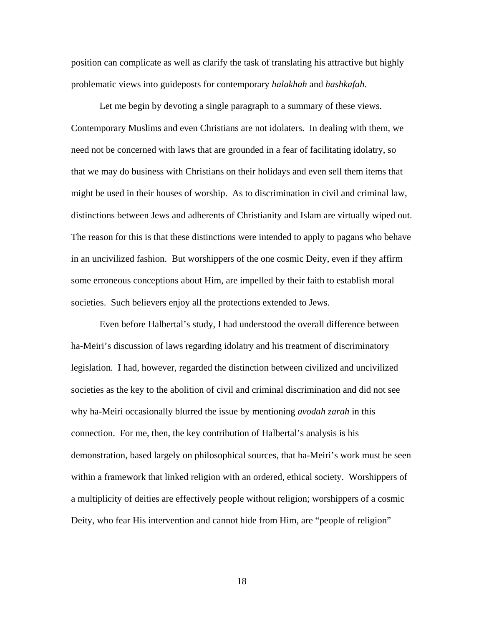position can complicate as well as clarify the task of translating his attractive but highly problematic views into guideposts for contemporary *halakhah* and *hashkafah*.

Let me begin by devoting a single paragraph to a summary of these views. Contemporary Muslims and even Christians are not idolaters. In dealing with them, we need not be concerned with laws that are grounded in a fear of facilitating idolatry, so that we may do business with Christians on their holidays and even sell them items that might be used in their houses of worship. As to discrimination in civil and criminal law, distinctions between Jews and adherents of Christianity and Islam are virtually wiped out. The reason for this is that these distinctions were intended to apply to pagans who behave in an uncivilized fashion. But worshippers of the one cosmic Deity, even if they affirm some erroneous conceptions about Him, are impelled by their faith to establish moral societies. Such believers enjoy all the protections extended to Jews.

Even before Halbertal's study, I had understood the overall difference between ha-Meiri's discussion of laws regarding idolatry and his treatment of discriminatory legislation. I had, however, regarded the distinction between civilized and uncivilized societies as the key to the abolition of civil and criminal discrimination and did not see why ha-Meiri occasionally blurred the issue by mentioning *avodah zarah* in this connection. For me, then, the key contribution of Halbertal's analysis is his demonstration, based largely on philosophical sources, that ha-Meiri's work must be seen within a framework that linked religion with an ordered, ethical society. Worshippers of a multiplicity of deities are effectively people without religion; worshippers of a cosmic Deity, who fear His intervention and cannot hide from Him, are "people of religion"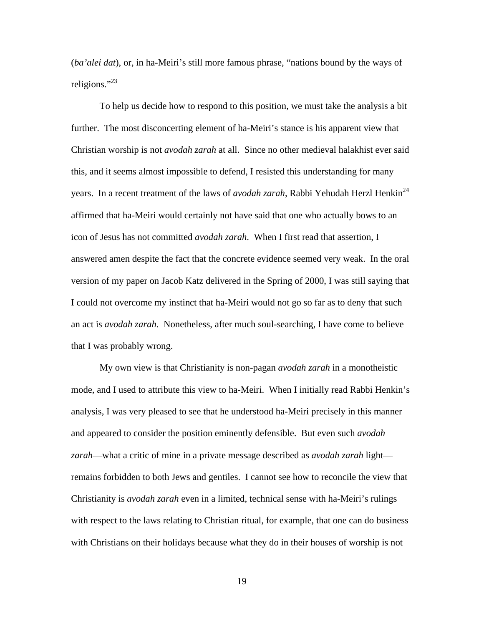(*ba'alei dat*), or, in ha-Meiri's still more famous phrase, "nations bound by the ways of religions."<sup>23</sup>

To help us decide how to respond to this position, we must take the analysis a bit further. The most disconcerting element of ha-Meiri's stance is his apparent view that Christian worship is not *avodah zarah* at all. Since no other medieval halakhist ever said this, and it seems almost impossible to defend, I resisted this understanding for many years. In a recent treatment of the laws of *avodah zarah*, Rabbi Yehudah Herzl Henkin<sup>24</sup> affirmed that ha-Meiri would certainly not have said that one who actually bows to an icon of Jesus has not committed *avodah zarah*. When I first read that assertion, I answered amen despite the fact that the concrete evidence seemed very weak. In the oral version of my paper on Jacob Katz delivered in the Spring of 2000, I was still saying that I could not overcome my instinct that ha-Meiri would not go so far as to deny that such an act is *avodah zarah*. Nonetheless, after much soul-searching, I have come to believe that I was probably wrong.

My own view is that Christianity is non-pagan *avodah zarah* in a monotheistic mode, and I used to attribute this view to ha-Meiri. When I initially read Rabbi Henkin's analysis, I was very pleased to see that he understood ha-Meiri precisely in this manner and appeared to consider the position eminently defensible. But even such *avodah zarah*—what a critic of mine in a private message described as *avodah zarah* light remains forbidden to both Jews and gentiles. I cannot see how to reconcile the view that Christianity is *avodah zarah* even in a limited, technical sense with ha-Meiri's rulings with respect to the laws relating to Christian ritual, for example, that one can do business with Christians on their holidays because what they do in their houses of worship is not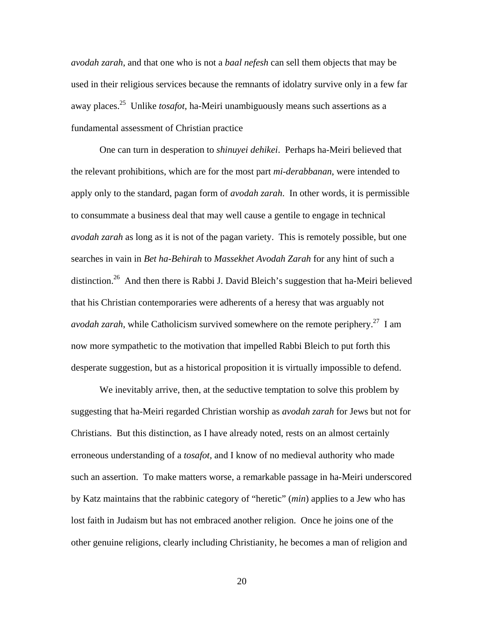*avodah zarah*, and that one who is not a *baal nefesh* can sell them objects that may be used in their religious services because the remnants of idolatry survive only in a few far away places.25 Unlike *tosafot*, ha-Meiri unambiguously means such assertions as a fundamental assessment of Christian practice

One can turn in desperation to *shinuyei dehikei*. Perhaps ha-Meiri believed that the relevant prohibitions, which are for the most part *mi-derabbanan*, were intended to apply only to the standard, pagan form of *avodah zarah*. In other words, it is permissible to consummate a business deal that may well cause a gentile to engage in technical *avodah zarah* as long as it is not of the pagan variety. This is remotely possible, but one searches in vain in *Bet ha-Behirah* to *Massekhet Avodah Zarah* for any hint of such a distinction.<sup>26</sup> And then there is Rabbi J. David Bleich's suggestion that ha-Meiri believed that his Christian contemporaries were adherents of a heresy that was arguably not *avodah zarah*, while Catholicism survived somewhere on the remote periphery.<sup>27</sup> I am now more sympathetic to the motivation that impelled Rabbi Bleich to put forth this desperate suggestion, but as a historical proposition it is virtually impossible to defend.

We inevitably arrive, then, at the seductive temptation to solve this problem by suggesting that ha-Meiri regarded Christian worship as *avodah zarah* for Jews but not for Christians. But this distinction, as I have already noted, rests on an almost certainly erroneous understanding of a *tosafot*, and I know of no medieval authority who made such an assertion. To make matters worse, a remarkable passage in ha-Meiri underscored by Katz maintains that the rabbinic category of "heretic" (*min*) applies to a Jew who has lost faith in Judaism but has not embraced another religion. Once he joins one of the other genuine religions, clearly including Christianity, he becomes a man of religion and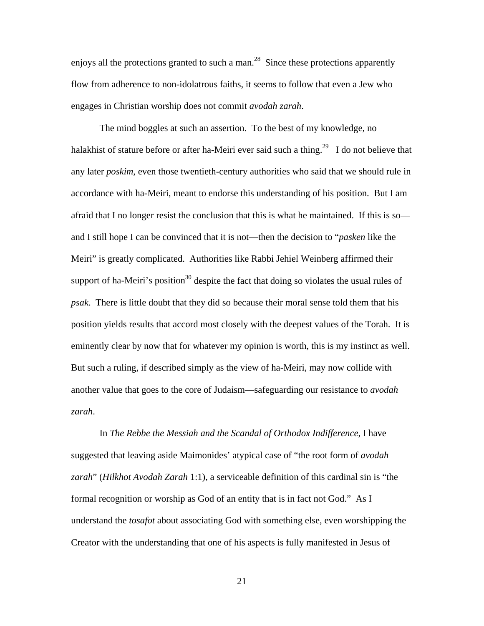enjoys all the protections granted to such a man.<sup>28</sup> Since these protections apparently flow from adherence to non-idolatrous faiths, it seems to follow that even a Jew who engages in Christian worship does not commit *avodah zarah*.

The mind boggles at such an assertion. To the best of my knowledge, no halakhist of stature before or after ha-Meiri ever said such a thing.<sup>29</sup> I do not believe that any later *poskim*, even those twentieth-century authorities who said that we should rule in accordance with ha-Meiri, meant to endorse this understanding of his position. But I am afraid that I no longer resist the conclusion that this is what he maintained. If this is so and I still hope I can be convinced that it is not—then the decision to "*pasken* like the Meiri" is greatly complicated. Authorities like Rabbi Jehiel Weinberg affirmed their support of ha-Meiri's position<sup>30</sup> despite the fact that doing so violates the usual rules of *psak*. There is little doubt that they did so because their moral sense told them that his position yields results that accord most closely with the deepest values of the Torah. It is eminently clear by now that for whatever my opinion is worth, this is my instinct as well. But such a ruling, if described simply as the view of ha-Meiri, may now collide with another value that goes to the core of Judaism—safeguarding our resistance to *avodah zarah*.

In *The Rebbe the Messiah and the Scandal of Orthodox Indifference*, I have suggested that leaving aside Maimonides' atypical case of "the root form of *avodah zarah*" (*Hilkhot Avodah Zarah* 1:1), a serviceable definition of this cardinal sin is "the formal recognition or worship as God of an entity that is in fact not God." As I understand the *tosafot* about associating God with something else, even worshipping the Creator with the understanding that one of his aspects is fully manifested in Jesus of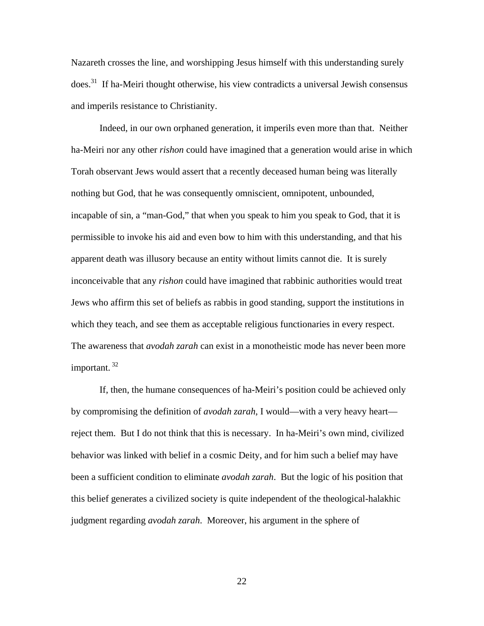Nazareth crosses the line, and worshipping Jesus himself with this understanding surely  $\omega$ does.<sup>31</sup> If ha-Meiri thought otherwise, his view contradicts a universal Jewish consensus and imperils resistance to Christianity.

Indeed, in our own orphaned generation, it imperils even more than that. Neither ha-Meiri nor any other *rishon* could have imagined that a generation would arise in which Torah observant Jews would assert that a recently deceased human being was literally nothing but God, that he was consequently omniscient, omnipotent, unbounded, incapable of sin, a "man-God," that when you speak to him you speak to God, that it is permissible to invoke his aid and even bow to him with this understanding, and that his apparent death was illusory because an entity without limits cannot die. It is surely inconceivable that any *rishon* could have imagined that rabbinic authorities would treat Jews who affirm this set of beliefs as rabbis in good standing, support the institutions in which they teach, and see them as acceptable religious functionaries in every respect. The awareness that *avodah zarah* can exist in a monotheistic mode has never been more important.  $32$ 

If, then, the humane consequences of ha-Meiri's position could be achieved only by compromising the definition of *avodah zarah*, I would—with a very heavy heart reject them. But I do not think that this is necessary. In ha-Meiri's own mind, civilized behavior was linked with belief in a cosmic Deity, and for him such a belief may have been a sufficient condition to eliminate *avodah zarah*. But the logic of his position that this belief generates a civilized society is quite independent of the theological-halakhic judgment regarding *avodah zarah*. Moreover, his argument in the sphere of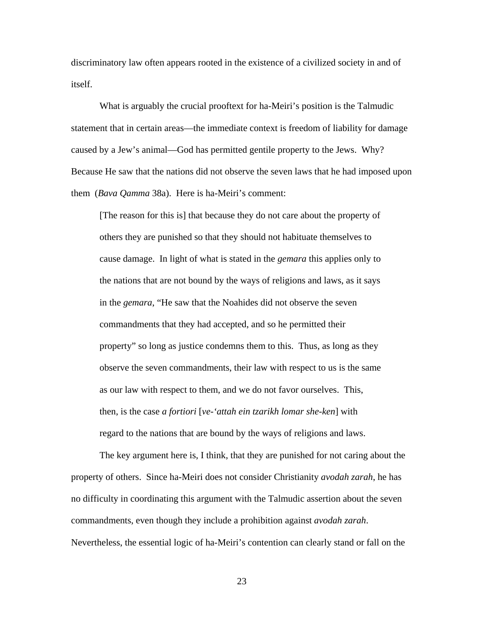discriminatory law often appears rooted in the existence of a civilized society in and of itself.

What is arguably the crucial prooftext for ha-Meiri's position is the Talmudic statement that in certain areas—the immediate context is freedom of liability for damage caused by a Jew's animal—God has permitted gentile property to the Jews. Why? Because He saw that the nations did not observe the seven laws that he had imposed upon them (*Bava Qamma* 38a). Here is ha-Meiri's comment:

[The reason for this is] that because they do not care about the property of others they are punished so that they should not habituate themselves to cause damage. In light of what is stated in the *gemara* this applies only to the nations that are not bound by the ways of religions and laws, as it says in the *gemara*, "He saw that the Noahides did not observe the seven commandments that they had accepted, and so he permitted their property" so long as justice condemns them to this. Thus, as long as they observe the seven commandments, their law with respect to us is the same as our law with respect to them, and we do not favor ourselves. This, then, is the case *a fortiori* [*ve-'attah ein tzarikh lomar she-ken*] with regard to the nations that are bound by the ways of religions and laws.

The key argument here is, I think, that they are punished for not caring about the property of others. Since ha-Meiri does not consider Christianity *avodah zarah*, he has no difficulty in coordinating this argument with the Talmudic assertion about the seven commandments, even though they include a prohibition against *avodah zarah*. Nevertheless, the essential logic of ha-Meiri's contention can clearly stand or fall on the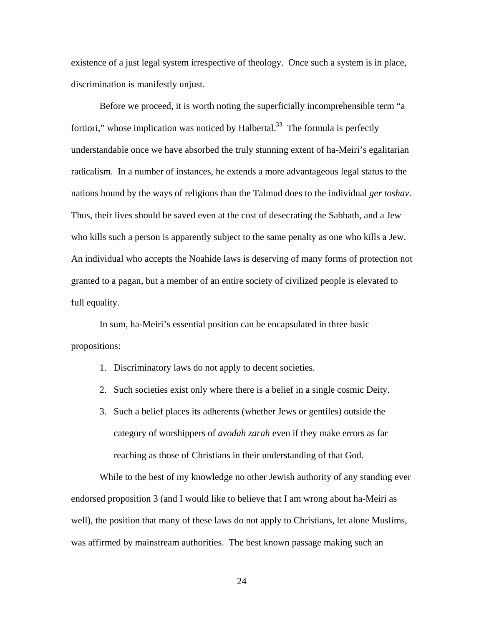existence of a just legal system irrespective of theology. Once such a system is in place, discrimination is manifestly unjust.

Before we proceed, it is worth noting the superficially incomprehensible term "a fortiori," whose implication was noticed by Halbertal. $33$  The formula is perfectly understandable once we have absorbed the truly stunning extent of ha-Meiri's egalitarian radicalism. In a number of instances, he extends a more advantageous legal status to the nations bound by the ways of religions than the Talmud does to the individual *ger toshav*. Thus, their lives should be saved even at the cost of desecrating the Sabbath, and a Jew who kills such a person is apparently subject to the same penalty as one who kills a Jew. An individual who accepts the Noahide laws is deserving of many forms of protection not granted to a pagan, but a member of an entire society of civilized people is elevated to full equality.

In sum, ha-Meiri's essential position can be encapsulated in three basic propositions:

- 1. Discriminatory laws do not apply to decent societies.
- 2. Such societies exist only where there is a belief in a single cosmic Deity.
- 3. Such a belief places its adherents (whether Jews or gentiles) outside the category of worshippers of *avodah zarah* even if they make errors as far reaching as those of Christians in their understanding of that God.

While to the best of my knowledge no other Jewish authority of any standing ever endorsed proposition 3 (and I would like to believe that I am wrong about ha-Meiri as well), the position that many of these laws do not apply to Christians, let alone Muslims, was affirmed by mainstream authorities. The best known passage making such an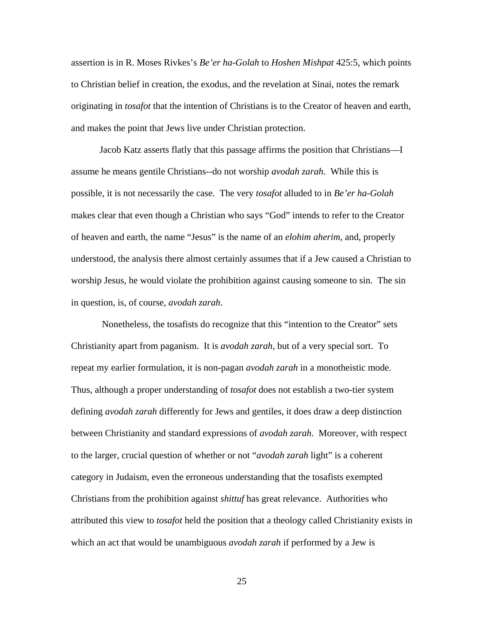assertion is in R. Moses Rivkes's *Be'er ha-Golah* to *Hoshen Mishpat* 425:5, which points to Christian belief in creation, the exodus, and the revelation at Sinai, notes the remark originating in *tosafot* that the intention of Christians is to the Creator of heaven and earth, and makes the point that Jews live under Christian protection.

Jacob Katz asserts flatly that this passage affirms the position that Christians—I assume he means gentile Christians--do not worship *avodah zarah*. While this is possible, it is not necessarily the case. The very *tosafot* alluded to in *Be'er ha-Golah*  makes clear that even though a Christian who says "God" intends to refer to the Creator of heaven and earth, the name "Jesus" is the name of an *elohim aherim*, and, properly understood, the analysis there almost certainly assumes that if a Jew caused a Christian to worship Jesus, he would violate the prohibition against causing someone to sin. The sin in question, is, of course, *avodah zarah*.

 Nonetheless, the tosafists do recognize that this "intention to the Creator" sets Christianity apart from paganism. It is *avodah zarah*, but of a very special sort. To repeat my earlier formulation, it is non-pagan *avodah zarah* in a monotheistic mode*.* Thus, although a proper understanding of *tosafot* does not establish a two-tier system defining *avodah zarah* differently for Jews and gentiles, it does draw a deep distinction between Christianity and standard expressions of *avodah zarah*. Moreover, with respect to the larger, crucial question of whether or not "*avodah zarah* light" is a coherent category in Judaism, even the erroneous understanding that the tosafists exempted Christians from the prohibition against *shittuf* has great relevance. Authorities who attributed this view to *tosafot* held the position that a theology called Christianity exists in which an act that would be unambiguous *avodah zarah* if performed by a Jew is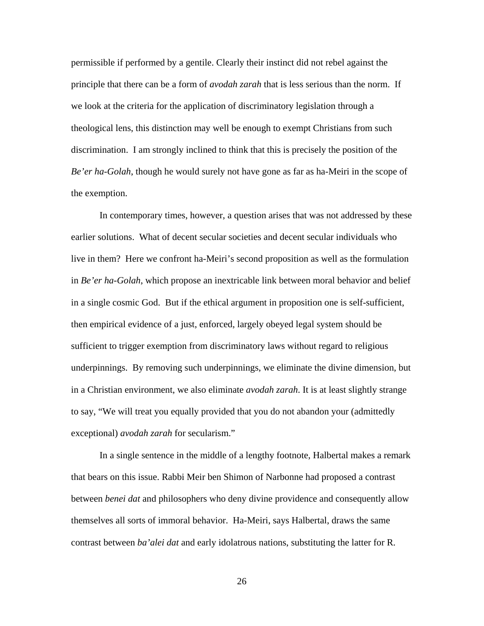permissible if performed by a gentile. Clearly their instinct did not rebel against the principle that there can be a form of *avodah zarah* that is less serious than the norm. If we look at the criteria for the application of discriminatory legislation through a theological lens, this distinction may well be enough to exempt Christians from such discrimination. I am strongly inclined to think that this is precisely the position of the *Be'er ha-Golah*, though he would surely not have gone as far as ha-Meiri in the scope of the exemption.

In contemporary times, however, a question arises that was not addressed by these earlier solutions. What of decent secular societies and decent secular individuals who live in them? Here we confront ha-Meiri's second proposition as well as the formulation in *Be'er ha-Golah*, which propose an inextricable link between moral behavior and belief in a single cosmic God. But if the ethical argument in proposition one is self-sufficient, then empirical evidence of a just, enforced, largely obeyed legal system should be sufficient to trigger exemption from discriminatory laws without regard to religious underpinnings. By removing such underpinnings, we eliminate the divine dimension, but in a Christian environment, we also eliminate *avodah zarah*. It is at least slightly strange to say, "We will treat you equally provided that you do not abandon your (admittedly exceptional) *avodah zarah* for secularism."

In a single sentence in the middle of a lengthy footnote, Halbertal makes a remark that bears on this issue. Rabbi Meir ben Shimon of Narbonne had proposed a contrast between *benei dat* and philosophers who deny divine providence and consequently allow themselves all sorts of immoral behavior. Ha-Meiri, says Halbertal, draws the same contrast between *ba'alei dat* and early idolatrous nations, substituting the latter for R.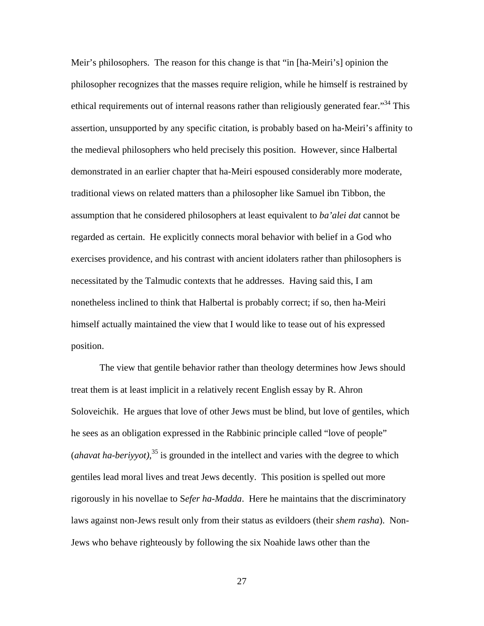Meir's philosophers. The reason for this change is that "in [ha-Meiri's] opinion the philosopher recognizes that the masses require religion, while he himself is restrained by ethical requirements out of internal reasons rather than religiously generated fear."<sup>34</sup> This assertion, unsupported by any specific citation, is probably based on ha-Meiri's affinity to the medieval philosophers who held precisely this position. However, since Halbertal demonstrated in an earlier chapter that ha-Meiri espoused considerably more moderate, traditional views on related matters than a philosopher like Samuel ibn Tibbon, the assumption that he considered philosophers at least equivalent to *ba'alei dat* cannot be regarded as certain. He explicitly connects moral behavior with belief in a God who exercises providence, and his contrast with ancient idolaters rather than philosophers is necessitated by the Talmudic contexts that he addresses. Having said this, I am nonetheless inclined to think that Halbertal is probably correct; if so, then ha-Meiri himself actually maintained the view that I would like to tease out of his expressed position.

The view that gentile behavior rather than theology determines how Jews should treat them is at least implicit in a relatively recent English essay by R. Ahron Soloveichik. He argues that love of other Jews must be blind, but love of gentiles, which he sees as an obligation expressed in the Rabbinic principle called "love of people" (*ahavat ha-beriyyot*),<sup>35</sup> is grounded in the intellect and varies with the degree to which gentiles lead moral lives and treat Jews decently. This position is spelled out more rigorously in his novellae to S*efer ha-Madda*. Here he maintains that the discriminatory laws against non-Jews result only from their status as evildoers (their *shem rasha*). Non-Jews who behave righteously by following the six Noahide laws other than the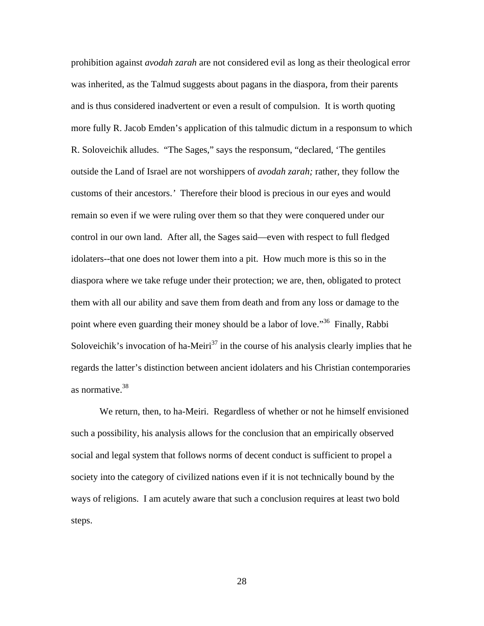prohibition against *avodah zarah* are not considered evil as long as their theological error was inherited, as the Talmud suggests about pagans in the diaspora, from their parents and is thus considered inadvertent or even a result of compulsion. It is worth quoting more fully R. Jacob Emden's application of this talmudic dictum in a responsum to which R. Soloveichik alludes. "The Sages," says the responsum, "declared, 'The gentiles outside the Land of Israel are not worshippers of *avodah zarah;* rather, they follow the customs of their ancestors.*'* Therefore their blood is precious in our eyes and would remain so even if we were ruling over them so that they were conquered under our control in our own land. After all, the Sages said—even with respect to full fledged idolaters--that one does not lower them into a pit. How much more is this so in the diaspora where we take refuge under their protection; we are, then, obligated to protect them with all our ability and save them from death and from any loss or damage to the point where even guarding their money should be a labor of love."<sup>36</sup> Finally, Rabbi Soloveichik's invocation of ha-Meiri<sup>37</sup> in the course of his analysis clearly implies that he regards the latter's distinction between ancient idolaters and his Christian contemporaries as normative.<sup>38</sup>

We return, then, to ha-Meiri. Regardless of whether or not he himself envisioned such a possibility, his analysis allows for the conclusion that an empirically observed social and legal system that follows norms of decent conduct is sufficient to propel a society into the category of civilized nations even if it is not technically bound by the ways of religions. I am acutely aware that such a conclusion requires at least two bold steps.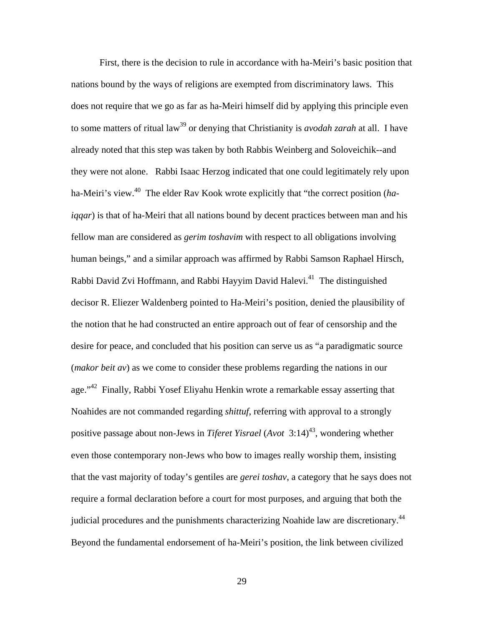First, there is the decision to rule in accordance with ha-Meiri's basic position that nations bound by the ways of religions are exempted from discriminatory laws. This does not require that we go as far as ha-Meiri himself did by applying this principle even to some matters of ritual law<sup>39</sup> or denying that Christianity is *avodah zarah* at all. I have already noted that this step was taken by both Rabbis Weinberg and Soloveichik--and they were not alone. Rabbi Isaac Herzog indicated that one could legitimately rely upon ha-Meiri's view.40 The elder Rav Kook wrote explicitly that "the correct position (*haiqqar*) is that of ha-Meiri that all nations bound by decent practices between man and his fellow man are considered as *gerim toshavim* with respect to all obligations involving human beings," and a similar approach was affirmed by Rabbi Samson Raphael Hirsch, Rabbi David Zvi Hoffmann, and Rabbi Hayyim David Halevi.<sup>41</sup> The distinguished decisor R. Eliezer Waldenberg pointed to Ha-Meiri's position, denied the plausibility of the notion that he had constructed an entire approach out of fear of censorship and the desire for peace, and concluded that his position can serve us as "a paradigmatic source (*makor beit av*) as we come to consider these problems regarding the nations in our age."42 Finally, Rabbi Yosef Eliyahu Henkin wrote a remarkable essay asserting that Noahides are not commanded regarding *shittuf*, referring with approval to a strongly positive passage about non-Jews in *Tiferet Yisrael* (*Avot* 3:14)<sup>43</sup>, wondering whether even those contemporary non-Jews who bow to images really worship them, insisting that the vast majority of today's gentiles are *gerei toshav*, a category that he says does not require a formal declaration before a court for most purposes, and arguing that both the judicial procedures and the punishments characterizing Noahide law are discretionary.<sup>44</sup> Beyond the fundamental endorsement of ha-Meiri's position, the link between civilized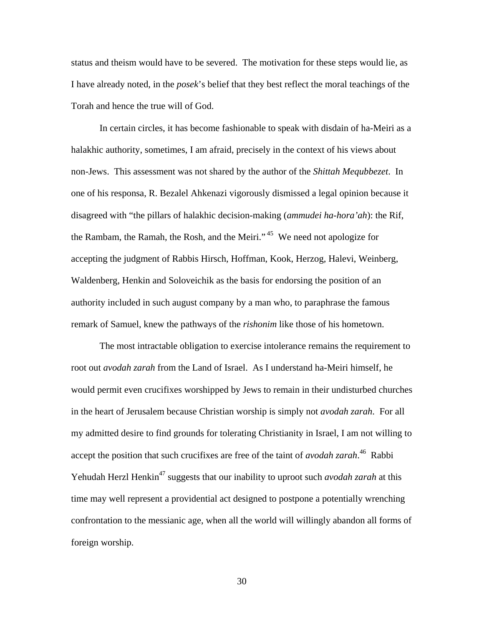status and theism would have to be severed. The motivation for these steps would lie, as I have already noted, in the *posek*'s belief that they best reflect the moral teachings of the Torah and hence the true will of God.

In certain circles, it has become fashionable to speak with disdain of ha-Meiri as a halakhic authority, sometimes, I am afraid, precisely in the context of his views about non-Jews. This assessment was not shared by the author of the *Shittah Mequbbezet*. In one of his responsa, R. Bezalel Ahkenazi vigorously dismissed a legal opinion because it disagreed with "the pillars of halakhic decision-making (*ammudei ha-hora'ah*): the Rif, the Rambam, the Ramah, the Rosh, and the Meiri."<sup>45</sup> We need not apologize for accepting the judgment of Rabbis Hirsch, Hoffman, Kook, Herzog, Halevi, Weinberg, Waldenberg, Henkin and Soloveichik as the basis for endorsing the position of an authority included in such august company by a man who, to paraphrase the famous remark of Samuel, knew the pathways of the *rishonim* like those of his hometown.

The most intractable obligation to exercise intolerance remains the requirement to root out *avodah zarah* from the Land of Israel. As I understand ha-Meiri himself, he would permit even crucifixes worshipped by Jews to remain in their undisturbed churches in the heart of Jerusalem because Christian worship is simply not *avodah zarah*. For all my admitted desire to find grounds for tolerating Christianity in Israel, I am not willing to accept the position that such crucifixes are free of the taint of *avodah zarah*. 46 Rabbi Yehudah Herzl Henkin<sup>47</sup> suggests that our inability to uproot such *avodah zarah* at this time may well represent a providential act designed to postpone a potentially wrenching confrontation to the messianic age, when all the world will willingly abandon all forms of foreign worship.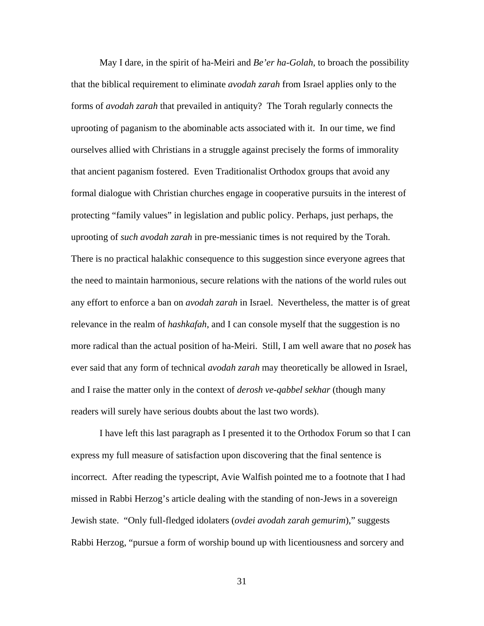May I dare, in the spirit of ha-Meiri and *Be'er ha-Golah*, to broach the possibility that the biblical requirement to eliminate *avodah zarah* from Israel applies only to the forms of *avodah zarah* that prevailed in antiquity? The Torah regularly connects the uprooting of paganism to the abominable acts associated with it. In our time, we find ourselves allied with Christians in a struggle against precisely the forms of immorality that ancient paganism fostered. Even Traditionalist Orthodox groups that avoid any formal dialogue with Christian churches engage in cooperative pursuits in the interest of protecting "family values" in legislation and public policy. Perhaps, just perhaps, the uprooting of *such avodah zarah* in pre-messianic times is not required by the Torah. There is no practical halakhic consequence to this suggestion since everyone agrees that the need to maintain harmonious, secure relations with the nations of the world rules out any effort to enforce a ban on *avodah zarah* in Israel. Nevertheless, the matter is of great relevance in the realm of *hashkafah*, and I can console myself that the suggestion is no more radical than the actual position of ha-Meiri. Still, I am well aware that no *posek* has ever said that any form of technical *avodah zarah* may theoretically be allowed in Israel, and I raise the matter only in the context of *derosh ve-qabbel sekhar* (though many readers will surely have serious doubts about the last two words).

I have left this last paragraph as I presented it to the Orthodox Forum so that I can express my full measure of satisfaction upon discovering that the final sentence is incorrect. After reading the typescript, Avie Walfish pointed me to a footnote that I had missed in Rabbi Herzog's article dealing with the standing of non-Jews in a sovereign Jewish state. "Only full-fledged idolaters (*ovdei avodah zarah gemurim*)," suggests Rabbi Herzog, "pursue a form of worship bound up with licentiousness and sorcery and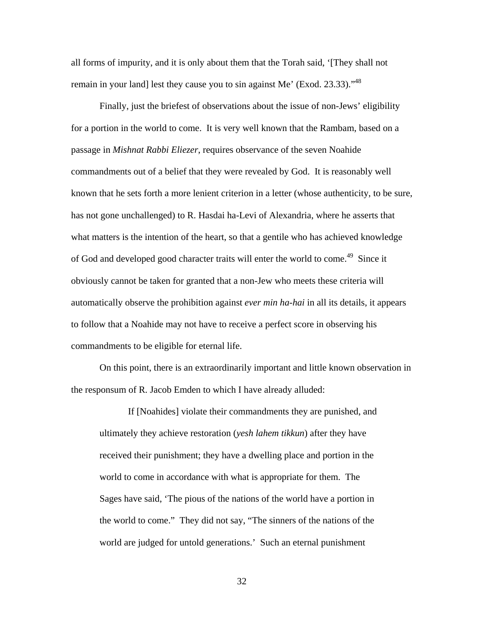all forms of impurity, and it is only about them that the Torah said, '[They shall not remain in your land] lest they cause you to sin against Me' (Exod. 23.33)."<sup>48</sup>

Finally, just the briefest of observations about the issue of non-Jews' eligibility for a portion in the world to come. It is very well known that the Rambam, based on a passage in *Mishnat Rabbi Eliezer*, requires observance of the seven Noahide commandments out of a belief that they were revealed by God. It is reasonably well known that he sets forth a more lenient criterion in a letter (whose authenticity, to be sure, has not gone unchallenged) to R. Hasdai ha-Levi of Alexandria, where he asserts that what matters is the intention of the heart, so that a gentile who has achieved knowledge of God and developed good character traits will enter the world to come.<sup>49</sup> Since it obviously cannot be taken for granted that a non-Jew who meets these criteria will automatically observe the prohibition against *ever min ha-hai* in all its details, it appears to follow that a Noahide may not have to receive a perfect score in observing his commandments to be eligible for eternal life.

On this point, there is an extraordinarily important and little known observation in the responsum of R. Jacob Emden to which I have already alluded:

If [Noahides] violate their commandments they are punished, and ultimately they achieve restoration (*yesh lahem tikkun*) after they have received their punishment; they have a dwelling place and portion in the world to come in accordance with what is appropriate for them. The Sages have said, 'The pious of the nations of the world have a portion in the world to come." They did not say, "The sinners of the nations of the world are judged for untold generations.' Such an eternal punishment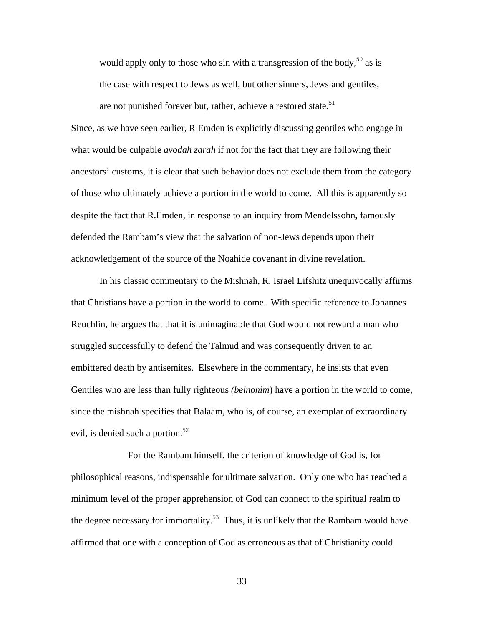would apply only to those who sin with a transgression of the body,<sup>50</sup> as is the case with respect to Jews as well, but other sinners, Jews and gentiles, are not punished forever but, rather, achieve a restored state.<sup>51</sup>

Since, as we have seen earlier, R Emden is explicitly discussing gentiles who engage in what would be culpable *avodah zarah* if not for the fact that they are following their ancestors' customs, it is clear that such behavior does not exclude them from the category of those who ultimately achieve a portion in the world to come. All this is apparently so despite the fact that R.Emden, in response to an inquiry from Mendelssohn, famously defended the Rambam's view that the salvation of non-Jews depends upon their acknowledgement of the source of the Noahide covenant in divine revelation.

 In his classic commentary to the Mishnah, R. Israel Lifshitz unequivocally affirms that Christians have a portion in the world to come. With specific reference to Johannes Reuchlin, he argues that that it is unimaginable that God would not reward a man who struggled successfully to defend the Talmud and was consequently driven to an embittered death by antisemites. Elsewhere in the commentary, he insists that even Gentiles who are less than fully righteous *(beinonim*) have a portion in the world to come, since the mishnah specifies that Balaam, who is, of course, an exemplar of extraordinary evil, is denied such a portion.<sup>52</sup>

 For the Rambam himself, the criterion of knowledge of God is, for philosophical reasons, indispensable for ultimate salvation. Only one who has reached a minimum level of the proper apprehension of God can connect to the spiritual realm to the degree necessary for immortality.<sup>53</sup> Thus, it is unlikely that the Rambam would have affirmed that one with a conception of God as erroneous as that of Christianity could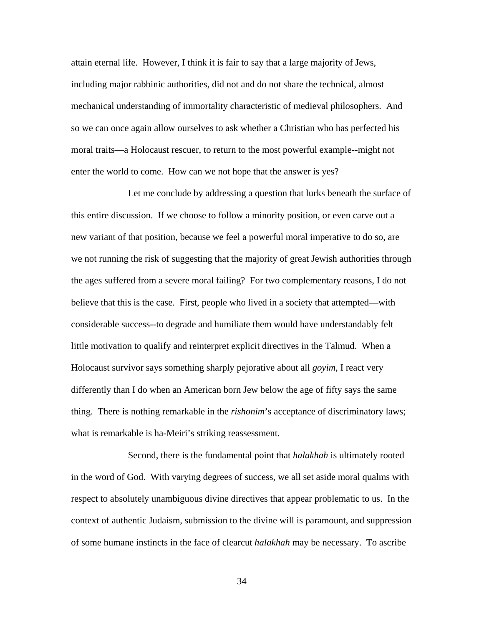attain eternal life. However, I think it is fair to say that a large majority of Jews, including major rabbinic authorities, did not and do not share the technical, almost mechanical understanding of immortality characteristic of medieval philosophers. And so we can once again allow ourselves to ask whether a Christian who has perfected his moral traits—a Holocaust rescuer, to return to the most powerful example--might not enter the world to come. How can we not hope that the answer is yes?

 Let me conclude by addressing a question that lurks beneath the surface of this entire discussion. If we choose to follow a minority position, or even carve out a new variant of that position, because we feel a powerful moral imperative to do so, are we not running the risk of suggesting that the majority of great Jewish authorities through the ages suffered from a severe moral failing? For two complementary reasons, I do not believe that this is the case. First, people who lived in a society that attempted—with considerable success--to degrade and humiliate them would have understandably felt little motivation to qualify and reinterpret explicit directives in the Talmud. When a Holocaust survivor says something sharply pejorative about all *goyim*, I react very differently than I do when an American born Jew below the age of fifty says the same thing. There is nothing remarkable in the *rishonim*'s acceptance of discriminatory laws; what is remarkable is ha-Meiri's striking reassessment.

 Second, there is the fundamental point that *halakhah* is ultimately rooted in the word of God. With varying degrees of success, we all set aside moral qualms with respect to absolutely unambiguous divine directives that appear problematic to us. In the context of authentic Judaism, submission to the divine will is paramount, and suppression of some humane instincts in the face of clearcut *halakhah* may be necessary. To ascribe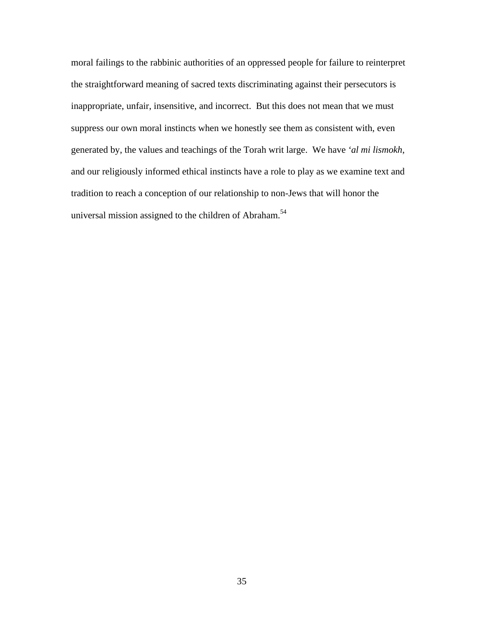moral failings to the rabbinic authorities of an oppressed people for failure to reinterpret the straightforward meaning of sacred texts discriminating against their persecutors is inappropriate, unfair, insensitive, and incorrect. But this does not mean that we must suppress our own moral instincts when we honestly see them as consistent with, even generated by, the values and teachings of the Torah writ large. We have *'al mi lismokh*, and our religiously informed ethical instincts have a role to play as we examine text and tradition to reach a conception of our relationship to non-Jews that will honor the universal mission assigned to the children of Abraham.<sup>54</sup>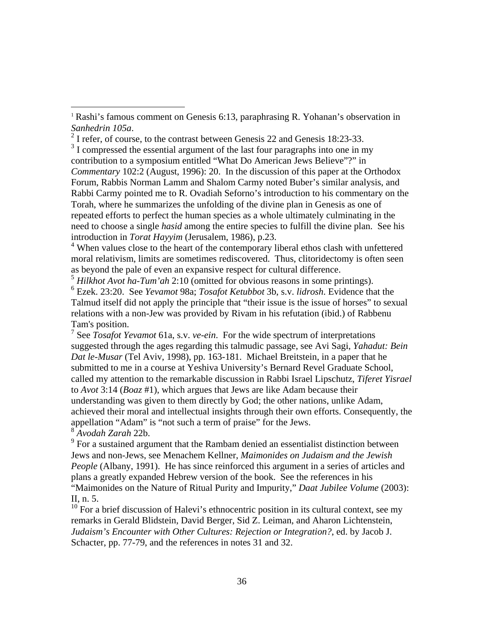$3<sup>3</sup>$  I compressed the essential argument of the last four paragraphs into one in my contribution to a symposium entitled "What Do American Jews Believe"?" in *Commentary* 102:2 (August, 1996): 20. In the discussion of this paper at the Orthodox Forum, Rabbis Norman Lamm and Shalom Carmy noted Buber's similar analysis, and Rabbi Carmy pointed me to R. Ovadiah Seforno's introduction to his commentary on the Torah, where he summarizes the unfolding of the divine plan in Genesis as one of repeated efforts to perfect the human species as a whole ultimately culminating in the need to choose a single *hasid* among the entire species to fulfill the divine plan. See his introduction in *Torat Hayyim* (Jerusalem, 1986), p.23.

<sup>4</sup> When values close to the heart of the contemporary liberal ethos clash with unfettered moral relativism, limits are sometimes rediscovered. Thus, clitoridectomy is often seen as beyond the pale of even an expansive respect for cultural difference.

<sup>5</sup> *Hilkhot Avot ha-Tum'ah* 2:10 (omitted for obvious reasons in some printings).

6 Ezek. 23:20. See *Yevamot* 98a; *Tosafot Ketubbot* 3b, s.v. *lidrosh*. Evidence that the Talmud itself did not apply the principle that "their issue is the issue of horses" to sexual relations with a non-Jew was provided by Rivam in his refutation (ibid.) of Rabbenu Tam's position.

7 See *Tosafot Yevamot* 61a, s.v. *ve-ein*. For the wide spectrum of interpretations suggested through the ages regarding this talmudic passage, see Avi Sagi, *Yahadut: Bein Dat le-Musar* (Tel Aviv, 1998), pp. 163-181. Michael Breitstein, in a paper that he submitted to me in a course at Yeshiva University's Bernard Revel Graduate School, called my attention to the remarkable discussion in Rabbi Israel Lipschutz, *Tiferet Yisrael* to *Avot* 3:14 (*Boaz* #1), which argues that Jews are like Adam because their understanding was given to them directly by God; the other nations, unlike Adam, achieved their moral and intellectual insights through their own efforts. Consequently, the appellation "Adam" is "not such a term of praise" for the Jews.

<sup>8</sup> *Avodah Zarah* 22b.

 $\overline{a}$ 

 $9^9$  For a sustained argument that the Rambam denied an essentialist distinction between Jews and non-Jews, see Menachem Kellner, *Maimonides on Judaism and the Jewish People* (Albany, 1991). He has since reinforced this argument in a series of articles and plans a greatly expanded Hebrew version of the book. See the references in his "Maimonides on the Nature of Ritual Purity and Impurity," *Daat Jubilee Volume* (2003): II, n. 5.

 $10$  For a brief discussion of Halevi's ethnocentric position in its cultural context, see my remarks in Gerald Blidstein, David Berger, Sid Z. Leiman, and Aharon Lichtenstein, *Judaism's Encounter with Other Cultures: Rejection or Integration?*, ed. by Jacob J. Schacter, pp. 77-79, and the references in notes 31 and 32.

<sup>&</sup>lt;sup>1</sup> Rashi's famous comment on Genesis 6:13, paraphrasing R. Yohanan's observation in *Sanhedrin 105a*. 2

 $2$  I refer, of course, to the contrast between Genesis 22 and Genesis 18:23-33.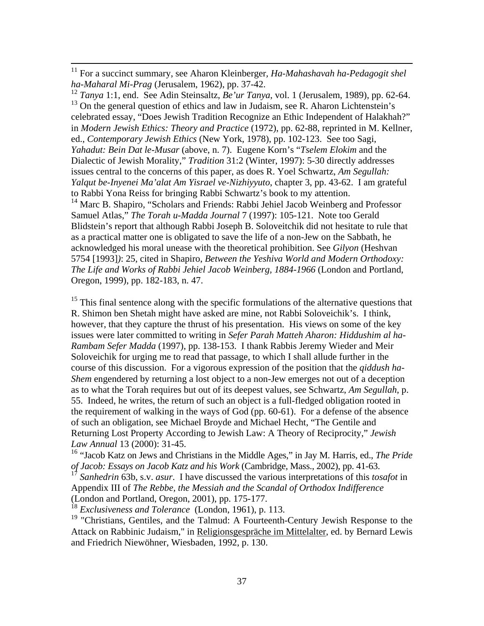<sup>12</sup> *Tanya* 1:1, end. See Adin Steinsaltz, *Be'ur Tanya*, vol. 1 (Jerusalem, 1989), pp. 62-64.  $13$  On the general question of ethics and law in Judaism, see R. Aharon Lichtenstein's celebrated essay, "Does Jewish Tradition Recognize an Ethic Independent of Halakhah?" in *Modern Jewish Ethics: Theory and Practice* (1972), pp. 62-88, reprinted in M. Kellner, ed., *Contemporary Jewish Ethics* (New York, 1978), pp. 102-123. See too Sagi, *Yahadut: Bein Dat le-Musar* (above, n. 7). Eugene Korn's "*Tselem Elokim* and the Dialectic of Jewish Morality," *Tradition* 31:2 (Winter, 1997): 5-30 directly addresses issues central to the concerns of this paper, as does R. Yoel Schwartz, *Am Segullah: Yalqut be-Inyenei Ma'alat Am Yisrael ve-Nizhiyyuto*, chapter 3, pp. 43-62. I am grateful to Rabbi Yona Reiss for bringing Rabbi Schwartz's book to my attention. <sup>14</sup> Marc B. Shapiro, "Scholars and Friends: Rabbi Jehiel Jacob Weinberg and Professor Samuel Atlas," *The Torah u-Madda Journal* 7 (1997): 105-121. Note too Gerald Blidstein's report that although Rabbi Joseph B. Soloveitchik did not hesitate to rule that as a practical matter one is obligated to save the life of a non-Jew on the Sabbath, he acknowledged his moral unease with the theoretical prohibition. See *Gilyon* (Heshvan 5754 [1993]*)*: 25, cited in Shapiro, *Between the Yeshiva World and Modern Orthodoxy: The Life and Works of Rabbi Jehiel Jacob Weinberg, 1884-1966* (London and Portland, Oregon, 1999), pp. 182-183, n. 47.

 $15$  This final sentence along with the specific formulations of the alternative questions that R. Shimon ben Shetah might have asked are mine, not Rabbi Soloveichik's. I think, however, that they capture the thrust of his presentation. His views on some of the key issues were later committed to writing in *Sefer Parah Matteh Aharon: Hiddushim al ha-Rambam Sefer Madda* (1997), pp. 138-153. I thank Rabbis Jeremy Wieder and Meir Soloveichik for urging me to read that passage, to which I shall allude further in the course of this discussion. For a vigorous expression of the position that the *qiddush ha-Shem* engendered by returning a lost object to a non-Jew emerges not out of a deception as to what the Torah requires but out of its deepest values, see Schwartz, *Am Segullah*, p. 55. Indeed, he writes, the return of such an object is a full-fledged obligation rooted in the requirement of walking in the ways of God (pp. 60-61). For a defense of the absence of such an obligation, see Michael Broyde and Michael Hecht, "The Gentile and Returning Lost Property According to Jewish Law: A Theory of Reciprocity," *Jewish Law Annual* 13 (2000): 31-45.

16 "Jacob Katz on Jews and Christians in the Middle Ages," in Jay M. Harris, ed., *The Pride of Jacob: Essays on Jacob Katz and his Work* (Cambridge, Mass., 2002), pp. 41-63.

<sup>17</sup> *Sanhedrin* 63b, s.v. *asur*. I have discussed the various interpretations of this *tosafot* in Appendix III of *The Rebbe, the Messiah and the Scandal of Orthodox Indifference* (London and Portland, Oregon, 2001), pp. 175-177.

<sup>18</sup> *Exclusiveness and Tolerance* (London, 1961), p. 113.

<sup>19</sup> "Christians, Gentiles, and the Talmud: A Fourteenth-Century Jewish Response to the Attack on Rabbinic Judaism," in Religionsgespräche im Mittelalter, ed. by Bernard Lewis and Friedrich Niewöhner, Wiesbaden, 1992, p. 130.

 <sup>11</sup> For a succinct summary, see Aharon Kleinberger*, Ha-Mahashavah ha-Pedagogit shel ha-Maharal Mi-Prag* (Jerusalem, 1962), pp. 37-42.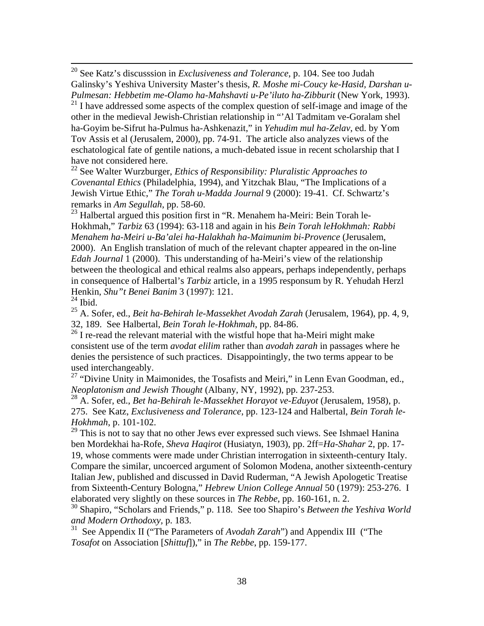20 See Katz's discusssion in *Exclusiveness and Tolerance*, p. 104. See too Judah Galinsky's Yeshiva University Master's thesis, *R. Moshe mi-Coucy ke-Hasid, Darshan u-Pulmesan: Hebbetim me-Olamo ha-Mahshavti u-Pe'iluto ha-Zibburit* (New York, 1993).

 $21$  I have addressed some aspects of the complex question of self-image and image of the other in the medieval Jewish-Christian relationship in "'Al Tadmitam ve-Goralam shel ha-Goyim be-Sifrut ha-Pulmus ha-Ashkenazit," in *Yehudim mul ha-Zelav*, ed. by Yom Tov Assis et al (Jerusalem, 2000), pp. 74-91. The article also analyzes views of the eschatological fate of gentile nations, a much-debated issue in recent scholarship that I have not considered here.

22 See Walter Wurzburger, *Ethics of Responsibility: Pluralistic Approaches to Covenantal Ethics* (Philadelphia, 1994), and Yitzchak Blau, "The Implications of a Jewish Virtue Ethic," *The Torah u-Madda Journal* 9 (2000): 19-41. Cf. Schwartz's remarks in *Am Segullah*, pp. 58-60.

<sup>23</sup> Halbertal argued this position first in "R. Menahem ha-Meiri: Bein Torah le-Hokhmah," *Tarbiz* 63 (1994): 63-118 and again in his *Bein Torah leHokhmah: Rabbi Menahem ha-Meiri u-Ba'alei ha-Halakhah ha-Maimunim bi-Provence* (Jerusalem, 2000). An English translation of much of the relevant chapter appeared in the on-line *Edah Journal* 1 (2000). This understanding of ha-Meiri's view of the relationship between the theological and ethical realms also appears, perhaps independently, perhaps in consequence of Halbertal's *Tarbiz* article, in a 1995 responsum by R. Yehudah Herzl Henkin, *Shu"t Benei Banim* 3 (1997): 121.

 $24$  Ibid.

25 A. Sofer, ed., *Beit ha-Behirah le-Massekhet Avodah Zarah* (Jerusalem, 1964), pp. 4, 9, 32, 189. See Halbertal, *Bein Torah le-Hokhmah*, pp. 84-86.

 $26$  I re-read the relevant material with the wistful hope that ha-Meiri might make consistent use of the term *avodat elilim* rather than *avodah zarah* in passages where he denies the persistence of such practices. Disappointingly, the two terms appear to be used interchangeably.

<sup>27</sup> "Divine Unity in Maimonides, the Tosafists and Meiri," in Lenn Evan Goodman, ed., *Neoplatonism and Jewish Thought* (Albany, NY, 1992), pp. 237-253.

28 A. Sofer, ed., *Bet ha-Behirah le-Massekhet Horayot ve-Eduyot* (Jerusalem, 1958), p. 275. See Katz, *Exclusiveness and Tolerance*, pp. 123-124 and Halbertal, *Bein Torah le-Hokhmah*, p. 101-102.

<sup>29</sup> This is not to say that no other Jews ever expressed such views. See Ishmael Hanina ben Mordekhai ha-Rofe, *Sheva Haqirot* (Husiatyn, 1903), pp. 2ff=*Ha-Shahar* 2, pp. 17- 19, whose comments were made under Christian interrogation in sixteenth-century Italy. Compare the similar, uncoerced argument of Solomon Modena, another sixteenth-century Italian Jew, published and discussed in David Ruderman, "A Jewish Apologetic Treatise from Sixteenth-Century Bologna," *Hebrew Union College Annual* 50 (1979): 253-276. I elaborated very slightly on these sources in *The Rebbe*, pp. 160-161, n. 2.

30 Shapiro, "Scholars and Friends," p. 118. See too Shapiro's *Between the Yeshiva World and Modern Orthodoxy,* p. 183.

31 See Appendix II ("The Parameters of *Avodah Zarah*") and Appendix III ("The *Tosafot* on Association [*Shittuf*])," in *The Rebbe*, pp. 159-177.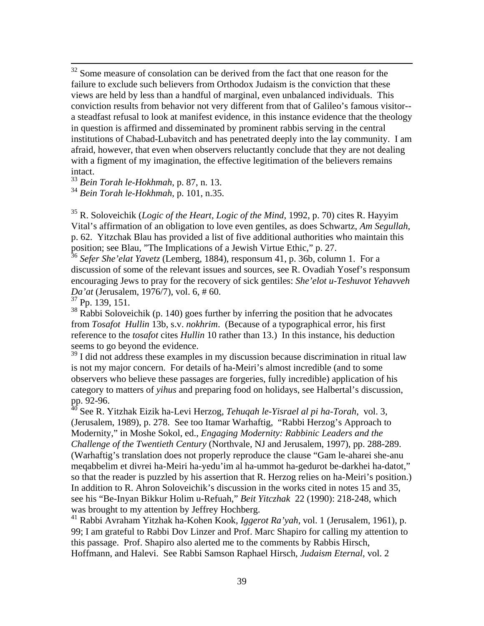<sup>32</sup> Some measure of consolation can be derived from the fact that one reason for the failure to exclude such believers from Orthodox Judaism is the conviction that these views are held by less than a handful of marginal, even unbalanced individuals. This conviction results from behavior not very different from that of Galileo's famous visitor- a steadfast refusal to look at manifest evidence, in this instance evidence that the theology in question is affirmed and disseminated by prominent rabbis serving in the central institutions of Chabad-Lubavitch and has penetrated deeply into the lay community. I am afraid, however, that even when observers reluctantly conclude that they are not dealing with a figment of my imagination, the effective legitimation of the believers remains intact.

<sup>33</sup> *Bein Torah le-Hokhmah*, p. 87, n. 13.

<sup>34</sup> *Bein Torah le-Hokhmah*, p. 101, n.35.

35 R. Soloveichik (*Logic of the Heart, Logic of the Mind*, 1992, p. 70) cites R. Hayyim Vital's affirmation of an obligation to love even gentiles, as does Schwartz, *Am Segullah*, p. 62. Yitzchak Blau has provided a list of five additional authorities who maintain this position; see Blau, "The Implications of a Jewish Virtue Ethic," p. 27.

<sup>36</sup> *Sefer She'elat Yavetz* (Lemberg, 1884), responsum 41, p. 36b, column 1. For a discussion of some of the relevant issues and sources, see R. Ovadiah Yosef's responsum encouraging Jews to pray for the recovery of sick gentiles: *She'elot u-Teshuvot Yehavveh Da'at* (Jerusalem, 1976/7), vol. 6, # 60.

37 Pp. 139, 151.

 $38$  Rabbi Soloveichik (p. 140) goes further by inferring the position that he advocates from *Tosafot Hullin* 13b, s.v. *nokhrim*. (Because of a typographical error, his first reference to the *tosafot* cites *Hullin* 10 rather than 13.) In this instance, his deduction seems to go beyond the evidence.

 $39$  I did not address these examples in my discussion because discrimination in ritual law is not my major concern. For details of ha-Meiri's almost incredible (and to some observers who believe these passages are forgeries, fully incredible) application of his category to matters of *yihus* and preparing food on holidays, see Halbertal's discussion, pp. 92-96.

40 See R. Yitzhak Eizik ha-Levi Herzog, *Tehuqah le-Yisrael al pi ha-Torah*, vol. 3, (Jerusalem, 1989), p. 278. See too Itamar Warhaftig, "Rabbi Herzog's Approach to Modernity," in Moshe Sokol, ed., *Engaging Modernity: Rabbinic Leaders and the Challenge of the Twentieth Century* (Northvale, NJ and Jerusalem, 1997), pp. 288-289. (Warhaftig's translation does not properly reproduce the clause "Gam le-aharei she-anu meqabbelim et divrei ha-Meiri ha-yedu'im al ha-ummot ha-gedurot be-darkhei ha-datot," so that the reader is puzzled by his assertion that R. Herzog relies on ha-Meiri's position.) In addition to R. Ahron Soloveichik's discussion in the works cited in notes 15 and 35, see his "Be-Inyan Bikkur Holim u-Refuah," *Beit Yitczhak* 22 (1990): 218-248, which was brought to my attention by Jeffrey Hochberg.

41 Rabbi Avraham Yitzhak ha-Kohen Kook, *Iggerot Ra'yah*, vol. 1 (Jerusalem, 1961), p. 99; I am grateful to Rabbi Dov Linzer and Prof. Marc Shapiro for calling my attention to this passage. Prof. Shapiro also alerted me to the comments by Rabbis Hirsch, Hoffmann, and Halevi. See Rabbi Samson Raphael Hirsch, *Judaism Eternal*, vol. 2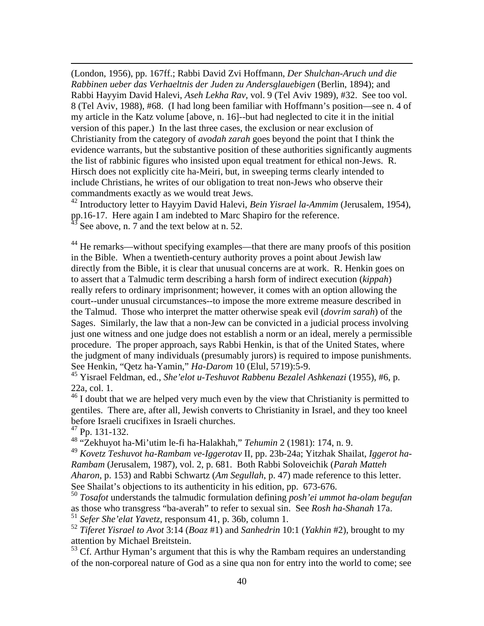(London, 1956), pp. 167ff.; Rabbi David Zvi Hoffmann, *Der Shulchan-Aruch und die Rabbinen ueber das Verhaeltnis der Juden zu Andersglauebigen* (Berlin, 1894); and Rabbi Hayyim David Halevi, *Aseh Lekha Rav*, vol. 9 (Tel Aviv 1989), #32. See too vol. 8 (Tel Aviv, 1988), #68. (I had long been familiar with Hoffmann's position—see n. 4 of my article in the Katz volume [above, n. 16]--but had neglected to cite it in the initial version of this paper.) In the last three cases, the exclusion or near exclusion of Christianity from the category of *avodah zarah* goes beyond the point that I think the evidence warrants, but the substantive position of these authorities significantly augments the list of rabbinic figures who insisted upon equal treatment for ethical non-Jews. R. Hirsch does not explicitly cite ha-Meiri, but, in sweeping terms clearly intended to include Christians, he writes of our obligation to treat non-Jews who observe their commandments exactly as we would treat Jews.

42 Introductory letter to Hayyim David Halevi, *Bein Yisrael la-Ammim* (Jerusalem, 1954), pp.16-17. Here again I am indebted to Marc Shapiro for the reference.

See above, n. 7 and the text below at n. 52.

<sup>44</sup> He remarks—without specifying examples—that there are many proofs of this position in the Bible. When a twentieth-century authority proves a point about Jewish law directly from the Bible, it is clear that unusual concerns are at work. R. Henkin goes on to assert that a Talmudic term describing a harsh form of indirect execution (*kippah*) really refers to ordinary imprisonment; however, it comes with an option allowing the court--under unusual circumstances--to impose the more extreme measure described in the Talmud. Those who interpret the matter otherwise speak evil (*dovrim sarah*) of the Sages. Similarly, the law that a non-Jew can be convicted in a judicial process involving just one witness and one judge does not establish a norm or an ideal, merely a permissible procedure. The proper approach, says Rabbi Henkin, is that of the United States, where the judgment of many individuals (presumably jurors) is required to impose punishments. See Henkin, "Qetz ha-Yamin," *Ha-Darom* 10 (Elul, 5719):5-9.

45 Yisrael Feldman, ed., *She'elot u-Teshuvot Rabbenu Bezalel Ashkenazi* (1955), #6, p. 22a, col. 1.

<sup>46</sup> I doubt that we are helped very much even by the view that Christianity is permitted to gentiles. There are, after all, Jewish converts to Christianity in Israel, and they too kneel before Israeli crucifixes in Israeli churches.

47 Pp. 131-132.

 $\overline{a}$ 

48 "Zekhuyot ha-Mi'utim le-fi ha-Halakhah," *Tehumin* 2 (1981): 174, n. 9.

<sup>49</sup> *Kovetz Teshuvot ha-Rambam ve-Iggerotav* II, pp. 23b-24a; Yitzhak Shailat, *Iggerot ha-Rambam* (Jerusalem, 1987), vol. 2, p. 681. Both Rabbi Soloveichik (*Parah Matteh Aharon*, p. 153) and Rabbi Schwartz (*Am Segullah*, p. 47) made reference to this letter. See Shailat's objections to its authenticity in his edition, pp. 673-676.

<sup>50</sup> *Tosafot* understands the talmudic formulation defining *posh'ei ummot ha-olam begufan* as those who transgress "ba-averah" to refer to sexual sin. See *Rosh ha-Shanah* 17a. <sup>51</sup> *Sefer She'elat Yavetz*, responsum 41, p. 36b, column 1.

<sup>52</sup> *Tiferet Yisrael to Avot* 3:14 (*Boaz* #1) and *Sanhedrin* 10:1 (*Yakhin* #2), brought to my attention by Michael Breitstein.

 $<sup>53</sup>$  Cf. Arthur Hyman's argument that this is why the Rambam requires an understanding</sup> of the non-corporeal nature of God as a sine qua non for entry into the world to come; see